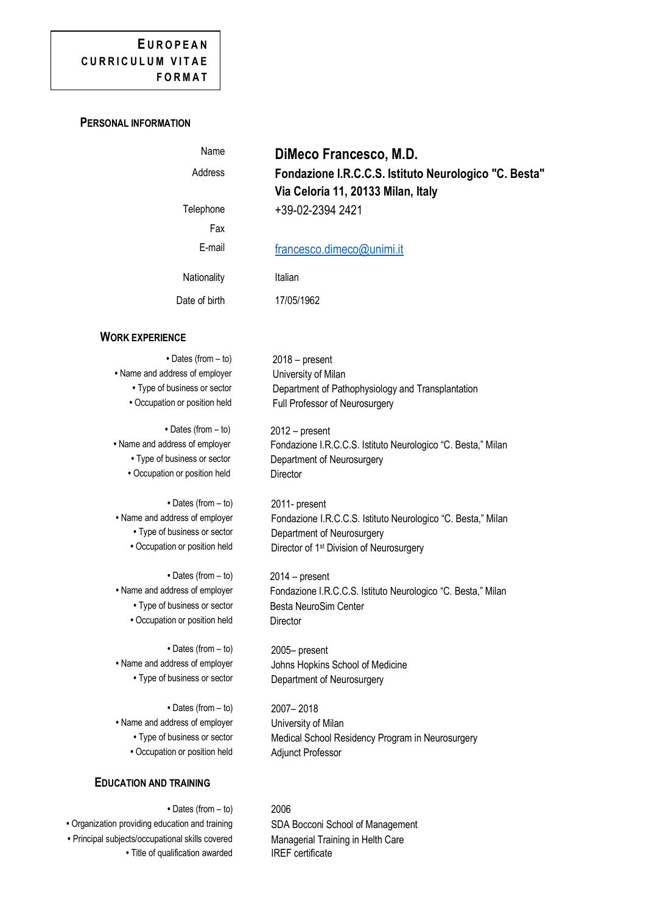# **E U R O P E A N CURRICULUM VITAE FORMAT**

## **PERSONAL INFORMATION**

| Name          | DiMeco Francesco, M.D.                                                                      |
|---------------|---------------------------------------------------------------------------------------------|
| Address       | Fondazione I.R.C.C.S. Istituto Neurologico "C. Besta"<br>Via Celoria 11, 20133 Milan, Italy |
| Telephone     | +39-02-2394 2421                                                                            |
| Fax           |                                                                                             |
| E-mail        | francesco.dimeco@unimi.it                                                                   |
| Nationality   | Italian                                                                                     |
| Date of birth | 17/05/1962                                                                                  |

### **WORK EXPERIENCE**

• Name and address of employer University of Milan

• Occupation or position held Director

**•** Dates (from – to) 2011- present

• Type of business or sector **Besta NeuroSim Center** • Occupation or position held Director

**•** Dates (from – to) 2005– present

**•** Dates (from – to) 2007– 2018 • Name and address of employer University of Milan • Occupation or position held Adjunct Professor

## **EDUCATION AND TRAINING**

**•** Dates (from – to) 2006 • Organization providing education and training SDA Bocconi School of Management **•** Principal subjects/occupational skills covered **•** Title of qualification awarded

**•** Dates (from – to) 2018 – present **•** Type of business or sector Department of Pathophysiology and Transplantation • Occupation or position held Full Professor of Neurosurgery

**•** Dates (from – to) 2012 – present • Name and address of employer Fondazione I.R.C.C.S. Istituto Neurologico "C. Besta," Milan **•** Type of business or sector Department of Neurosurgery

• Name and address of employer Fondazione I.R.C.C.S. Istituto Neurologico "C. Besta," Milan **•** Type of business or sector Department of Neurosurgery • Occupation or position held **Director of 1st Division of Neurosurgery** 

**•** Dates (from – to) 2014 – present • Name and address of employer Fondazione I.R.C.C.S. Istituto Neurologico "C. Besta." Milan

**•** Name and address of employer Johns Hopkins School of Medicine **•** Type of business or sector Department of Neurosurgery

**•** Type of business or sector Medical School Residency Program in Neurosurgery

Managerial Training in Helth Care IREF certificate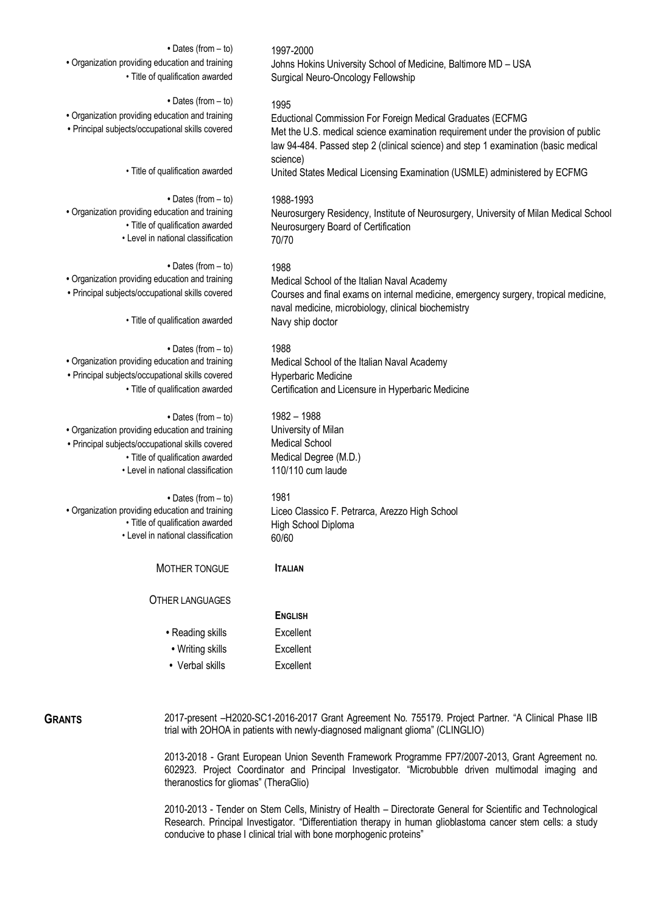| • Dates (from - to)<br>• Organization providing education and training<br>· Title of qualification awarded                                                                                           | 1997-2000<br>Johns Hokins University School of Medicine, Baltimore MD - USA<br>Surgical Neuro-Oncology Fellowship                                                                                                                                          |
|------------------------------------------------------------------------------------------------------------------------------------------------------------------------------------------------------|------------------------------------------------------------------------------------------------------------------------------------------------------------------------------------------------------------------------------------------------------------|
| $\bullet$ Dates (from $-$ to)<br>· Organization providing education and training<br>· Principal subjects/occupational skills covered                                                                 | 1995<br>Eductional Commission For Foreign Medical Graduates (ECFMG<br>Met the U.S. medical science examination requirement under the provision of public<br>law 94-484. Passed step 2 (clinical science) and step 1 examination (basic medical<br>science) |
| • Title of qualification awarded                                                                                                                                                                     | United States Medical Licensing Examination (USMLE) administered by ECFMG                                                                                                                                                                                  |
| • Dates (from - to)<br>• Organization providing education and training<br>· Title of qualification awarded<br>• Level in national classification                                                     | 1988-1993<br>Neurosurgery Residency, Institute of Neurosurgery, University of Milan Medical Schoo<br>Neurosurgery Board of Certification<br>70/70                                                                                                          |
| • Dates (from - to)<br>· Organization providing education and training<br>• Principal subjects/occupational skills covered                                                                           | 1988<br>Medical School of the Italian Naval Academy<br>Courses and final exams on internal medicine, emergency surgery, tropical medicine,<br>naval medicine, microbiology, clinical biochemistry                                                          |
| · Title of qualification awarded                                                                                                                                                                     | Navy ship doctor                                                                                                                                                                                                                                           |
| • Dates (from - to)<br>· Organization providing education and training<br>· Principal subjects/occupational skills covered<br>· Title of qualification awarded                                       | 1988<br>Medical School of the Italian Naval Academy<br>Hyperbaric Medicine<br>Certification and Licensure in Hyperbaric Medicine                                                                                                                           |
| • Dates (from - to)<br>· Organization providing education and training<br>· Principal subjects/occupational skills covered<br>• Title of qualification awarded<br>• Level in national classification | 1982 - 1988<br>University of Milan<br><b>Medical School</b><br>Medical Degree (M.D.)<br>110/110 cum laude                                                                                                                                                  |
| $\bullet$ Dates (from $-$ to)<br>• Organization providing education and training<br>• Title of qualification awarded<br>• Level in national classification                                           | 1981<br>Liceo Classico F. Petrarca, Arezzo High School<br>High School Diploma<br>60/60                                                                                                                                                                     |
| MOTHER TONGUE                                                                                                                                                                                        | <b>ITALIAN</b>                                                                                                                                                                                                                                             |
| <b>OTHER LANGUAGES</b>                                                                                                                                                                               | <b>ENGLISH</b>                                                                                                                                                                                                                                             |
| • Reading skills                                                                                                                                                                                     | Excellent                                                                                                                                                                                                                                                  |
| • Writing skills                                                                                                                                                                                     | Excellent                                                                                                                                                                                                                                                  |
| • Verbal skills                                                                                                                                                                                      | Excellent                                                                                                                                                                                                                                                  |
|                                                                                                                                                                                                      |                                                                                                                                                                                                                                                            |

GRANTS 2017-present -H2020-SC1-2016-2017 Grant Agreement No. 755179. Project Partner. "A Clinical Phase IIB trial with 2OHOA in patients with newly-diagnosed malignant glioma" (CLINGLIO)

> 2013-2018 - Grant European Union Seventh Framework Programme FP7/2007-2013, Grant Agreement no. 602923. Project Coordinator and Principal Investigator. "Microbubble driven multimodal imaging and theranostics for gliomas" (TheraGlio)

> 2010-2013 - Tender on Stem Cells, Ministry of Health – Directorate General for Scientific and Technological Research. Principal Investigator. "Differentiation therapy in human glioblastoma cancer stem cells: a study conducive to phase I clinical trial with bone morphogenic proteins"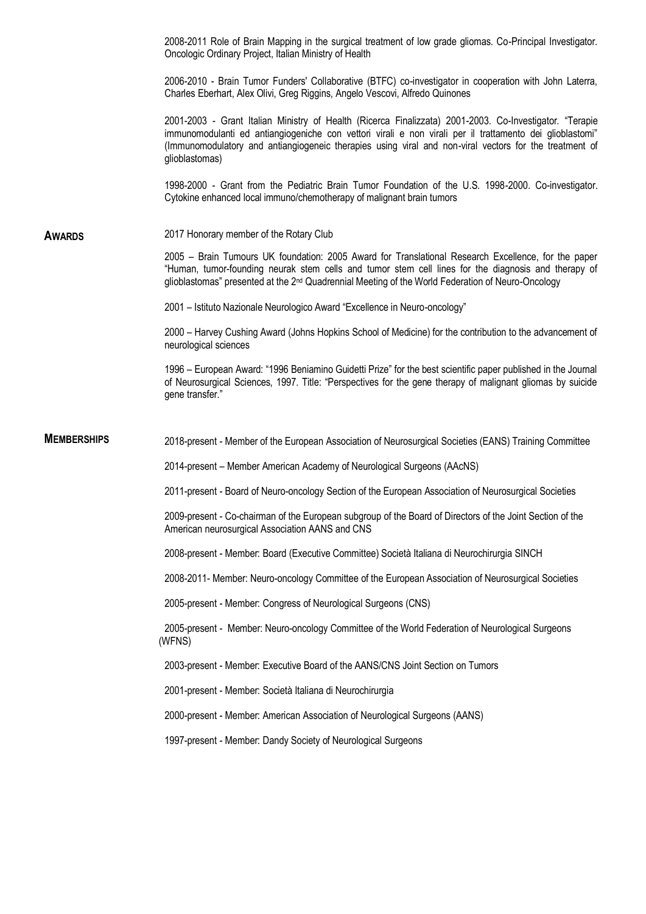2008-2011 Role of Brain Mapping in the surgical treatment of low grade gliomas. Co-Principal Investigator. Oncologic Ordinary Project, Italian Ministry of Health 2006-2010 - Brain Tumor Funders' Collaborative (BTFC) co-investigator in cooperation with John Laterra, Charles Eberhart, Alex Olivi, Greg Riggins, Angelo Vescovi, Alfredo Quinones 2001-2003 - Grant Italian Ministry of Health (Ricerca Finalizzata) 2001-2003. Co-Investigator. "Terapie immunomodulanti ed antiangiogeniche con vettori virali e non virali per il trattamento dei glioblastomi" (Immunomodulatory and antiangiogeneic therapies using viral and non-viral vectors for the treatment of glioblastomas) 1998-2000 - Grant from the Pediatric Brain Tumor Foundation of the U.S. 1998-2000. Co-investigator. Cytokine enhanced local immuno/chemotherapy of malignant brain tumors **AWARDS** 2017 Honorary member of the Rotary Club 2005 – Brain Tumours UK foundation: 2005 Award for Translational Research Excellence, for the paper "Human, tumor-founding neurak stem cells and tumor stem cell lines for the diagnosis and therapy of glioblastomas" presented at the 2<sup>nd</sup> Quadrennial Meeting of the World Federation of Neuro-Oncology 2001 – Istituto Nazionale Neurologico Award "Excellence in Neuro-oncology" 2000 – Harvey Cushing Award (Johns Hopkins School of Medicine) for the contribution to the advancement of neurological sciences 1996 – European Award: "1996 Beniamino Guidetti Prize" for the best scientific paper published in the Journal of Neurosurgical Sciences, 1997. Title: "Perspectives for the gene therapy of malignant gliomas by suicide gene transfer." **MEMBERSHIPS** 2018-present - Member of the European Association of Neurosurgical Societies (EANS) Training Committee 2014-present – Member American Academy of Neurological Surgeons (AAcNS) 2011-present - Board of Neuro-oncology Section of the European Association of Neurosurgical Societies 2009-present - Co-chairman of the European subgroup of the Board of Directors of the Joint Section of the American neurosurgical Association AANS and CNS 2008-present - Member: Board (Executive Committee) Società Italiana di Neurochirurgia SINCH 2008-2011- Member: Neuro-oncology Committee of the European Association of Neurosurgical Societies 2005-present - Member: Congress of Neurological Surgeons (CNS) 2005-present - Member: Neuro-oncology Committee of the World Federation of Neurological Surgeons (WFNS) 2003-present - Member: Executive Board of the AANS/CNS Joint Section on Tumors 2001-present - Member: Società Italiana di Neurochirurgia 2000-present - Member: American Association of Neurological Surgeons (AANS) 1997-present - Member: Dandy Society of Neurological Surgeons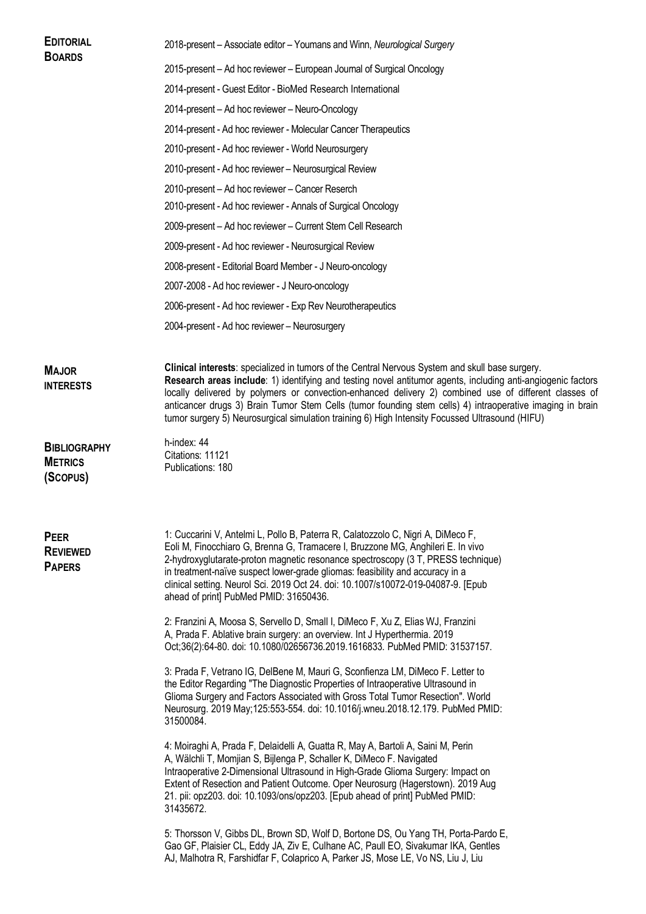| <b>EDITORIAL</b><br><b>BOARDS</b>                 | 2018-present – Associate editor – Youmans and Winn, Neurological Surgery                                                                                                                                                                                                                                                                                                                                                                                                                                                                 |  |  |  |
|---------------------------------------------------|------------------------------------------------------------------------------------------------------------------------------------------------------------------------------------------------------------------------------------------------------------------------------------------------------------------------------------------------------------------------------------------------------------------------------------------------------------------------------------------------------------------------------------------|--|--|--|
|                                                   | 2015-present - Ad hoc reviewer - European Journal of Surgical Oncology                                                                                                                                                                                                                                                                                                                                                                                                                                                                   |  |  |  |
|                                                   | 2014-present - Guest Editor - BioMed Research International                                                                                                                                                                                                                                                                                                                                                                                                                                                                              |  |  |  |
|                                                   | 2014-present - Ad hoc reviewer - Neuro-Oncology                                                                                                                                                                                                                                                                                                                                                                                                                                                                                          |  |  |  |
|                                                   | 2014-present - Ad hoc reviewer - Molecular Cancer Therapeutics                                                                                                                                                                                                                                                                                                                                                                                                                                                                           |  |  |  |
|                                                   | 2010-present - Ad hoc reviewer - World Neurosurgery                                                                                                                                                                                                                                                                                                                                                                                                                                                                                      |  |  |  |
|                                                   | 2010-present - Ad hoc reviewer - Neurosurgical Review                                                                                                                                                                                                                                                                                                                                                                                                                                                                                    |  |  |  |
|                                                   | 2010-present - Ad hoc reviewer - Cancer Reserch                                                                                                                                                                                                                                                                                                                                                                                                                                                                                          |  |  |  |
|                                                   | 2010-present - Ad hoc reviewer - Annals of Surgical Oncology                                                                                                                                                                                                                                                                                                                                                                                                                                                                             |  |  |  |
|                                                   | 2009-present - Ad hoc reviewer - Current Stem Cell Research                                                                                                                                                                                                                                                                                                                                                                                                                                                                              |  |  |  |
|                                                   | 2009-present - Ad hoc reviewer - Neurosurgical Review                                                                                                                                                                                                                                                                                                                                                                                                                                                                                    |  |  |  |
|                                                   | 2008-present - Editorial Board Member - J Neuro-oncology                                                                                                                                                                                                                                                                                                                                                                                                                                                                                 |  |  |  |
|                                                   | 2007-2008 - Ad hoc reviewer - J Neuro-oncology                                                                                                                                                                                                                                                                                                                                                                                                                                                                                           |  |  |  |
|                                                   | 2006-present - Ad hoc reviewer - Exp Rev Neurotherapeutics                                                                                                                                                                                                                                                                                                                                                                                                                                                                               |  |  |  |
|                                                   | 2004-present - Ad hoc reviewer - Neurosurgery                                                                                                                                                                                                                                                                                                                                                                                                                                                                                            |  |  |  |
|                                                   |                                                                                                                                                                                                                                                                                                                                                                                                                                                                                                                                          |  |  |  |
| <b>MAJOR</b><br><b>INTERESTS</b>                  | Clinical interests: specialized in tumors of the Central Nervous System and skull base surgery.<br>Research areas include: 1) identifying and testing novel antitumor agents, including anti-angiogenic factors<br>locally delivered by polymers or convection-enhanced delivery 2) combined use of different classes of<br>anticancer drugs 3) Brain Tumor Stem Cells (tumor founding stem cells) 4) intraoperative imaging in brain<br>tumor surgery 5) Neurosurgical simulation training 6) High Intensity Focussed Ultrasound (HIFU) |  |  |  |
| <b>BIBLIOGRAPHY</b><br><b>METRICS</b><br>(Scopus) | h-index: 44<br>Citations: 11121<br>Publications: 180                                                                                                                                                                                                                                                                                                                                                                                                                                                                                     |  |  |  |
| PEER<br><b>REVIEWED</b><br><b>PAPERS</b>          | 1: Cuccarini V, Antelmi L, Pollo B, Paterra R, Calatozzolo C, Nigri A, DiMeco F,<br>Eoli M, Finocchiaro G, Brenna G, Tramacere I, Bruzzone MG, Anghileri E. In vivo<br>2-hydroxyglutarate-proton magnetic resonance spectroscopy (3 T, PRESS technique)<br>in treatment-naïve suspect lower-grade gliomas: feasibility and accuracy in a<br>clinical setting. Neurol Sci. 2019 Oct 24. doi: 10.1007/s10072-019-04087-9. [Epub<br>ahead of print] PubMed PMID: 31650436.                                                                  |  |  |  |
|                                                   | 2: Franzini A, Moosa S, Servello D, Small I, DiMeco F, Xu Z, Elias WJ, Franzini<br>A, Prada F. Ablative brain surgery: an overview. Int J Hyperthermia. 2019<br>Oct;36(2):64-80. doi: 10.1080/02656736.2019.1616833. PubMed PMID: 31537157.                                                                                                                                                                                                                                                                                              |  |  |  |
|                                                   | 3: Prada F, Vetrano IG, DelBene M, Mauri G, Sconfienza LM, DiMeco F. Letter to<br>the Editor Regarding "The Diagnostic Properties of Intraoperative Ultrasound in<br>Glioma Surgery and Factors Associated with Gross Total Tumor Resection". World<br>Neurosurg. 2019 May; 125:553-554. doi: 10.1016/j.wneu.2018.12.179. PubMed PMID:<br>31500084.                                                                                                                                                                                      |  |  |  |
|                                                   | 4: Moiraghi A, Prada F, Delaidelli A, Guatta R, May A, Bartoli A, Saini M, Perin<br>A, Wälchli T, Momjian S, Bijlenga P, Schaller K, DiMeco F. Navigated<br>Intraoperative 2-Dimensional Ultrasound in High-Grade Glioma Surgery: Impact on<br>Extent of Resection and Patient Outcome. Oper Neurosurg (Hagerstown). 2019 Aug<br>21. pii: opz203. doi: 10.1093/ons/opz203. [Epub ahead of print] PubMed PMID:<br>31435672.                                                                                                               |  |  |  |
|                                                   | 5: Thorsson V, Gibbs DL, Brown SD, Wolf D, Bortone DS, Ou Yang TH, Porta-Pardo E,<br>Gao GF, Plaisier CL, Eddy JA, Ziv E, Culhane AC, Paull EO, Sivakumar IKA, Gentles<br>AJ, Malhotra R, Farshidfar F, Colaprico A, Parker JS, Mose LE, Vo NS, Liu J, Liu                                                                                                                                                                                                                                                                               |  |  |  |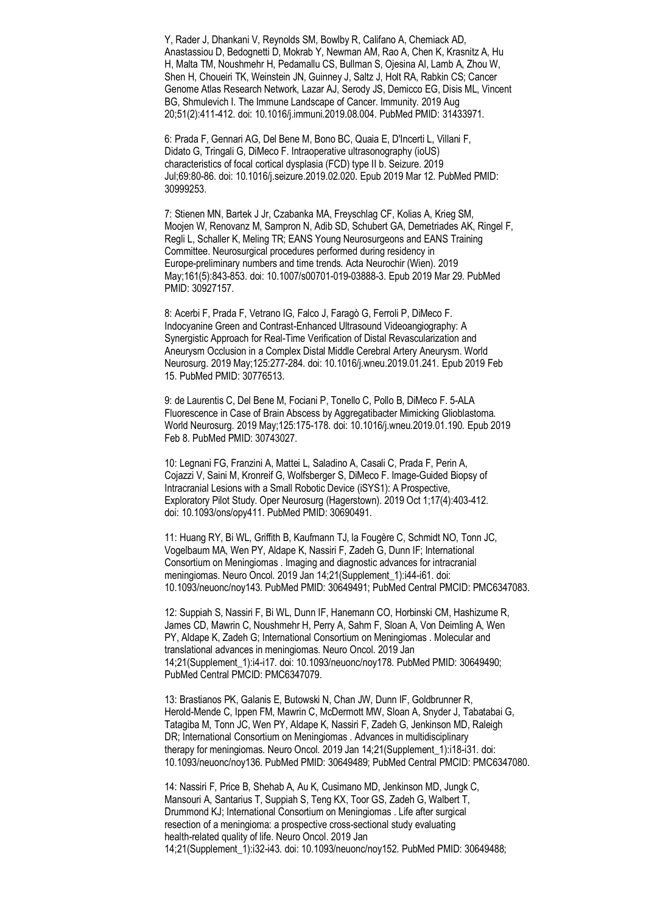Y, Rader J, Dhankani V, Reynolds SM, Bowlby R, Califano A, Cherniack AD, Anastassiou D, Bedognetti D, Mokrab Y, Newman AM, Rao A, Chen K, Krasnitz A, Hu H, Malta TM, Noushmehr H, Pedamallu CS, Bullman S, Ojesina AI, Lamb A, Zhou W, Shen H, Choueiri TK, Weinstein JN, Guinney J, Saltz J, Holt RA, Rabkin CS; Cancer Genome Atlas Research Network, Lazar AJ, Serody JS, Demicco EG, Disis ML, Vincent BG, Shmulevich I. The Immune Landscape of Cancer. Immunity. 2019 Aug 20;51(2):411-412. doi: 10.1016/j.immuni.2019.08.004. PubMed PMID: 31433971.

6: Prada F, Gennari AG, Del Bene M, Bono BC, Quaia E, D'Incerti L, Villani F, Didato G, Tringali G, DiMeco F. Intraoperative ultrasonography (ioUS) characteristics of focal cortical dysplasia (FCD) type II b. Seizure. 2019 Jul;69:80-86. doi: 10.1016/j.seizure.2019.02.020. Epub 2019 Mar 12. PubMed PMID: 30999253.

7: Stienen MN, Bartek J Jr, Czabanka MA, Freyschlag CF, Kolias A, Krieg SM, Moojen W, Renovanz M, Sampron N, Adib SD, Schubert GA, Demetriades AK, Ringel F, Regli L, Schaller K, Meling TR; EANS Young Neurosurgeons and EANS Training Committee. Neurosurgical procedures performed during residency in Europe-preliminary numbers and time trends. Acta Neurochir (Wien). 2019 May;161(5):843-853. doi: 10.1007/s00701-019-03888-3. Epub 2019 Mar 29. PubMed PMID: 30927157.

8: Acerbi F, Prada F, Vetrano IG, Falco J, Faragò G, Ferroli P, DiMeco F. Indocyanine Green and Contrast-Enhanced Ultrasound Videoangiography: A Synergistic Approach for Real-Time Verification of Distal Revascularization and Aneurysm Occlusion in a Complex Distal Middle Cerebral Artery Aneurysm. World Neurosurg. 2019 May;125:277-284. doi: 10.1016/j.wneu.2019.01.241. Epub 2019 Feb 15. PubMed PMID: 30776513.

9: de Laurentis C, Del Bene M, Fociani P, Tonello C, Pollo B, DiMeco F. 5-ALA Fluorescence in Case of Brain Abscess by Aggregatibacter Mimicking Glioblastoma. World Neurosurg. 2019 May;125:175-178. doi: 10.1016/j.wneu.2019.01.190. Epub 2019 Feb 8. PubMed PMID: 30743027.

10: Legnani FG, Franzini A, Mattei L, Saladino A, Casali C, Prada F, Perin A, Cojazzi V, Saini M, Kronreif G, Wolfsberger S, DiMeco F. Image-Guided Biopsy of Intracranial Lesions with a Small Robotic Device (iSYS1): A Prospective, Exploratory Pilot Study. Oper Neurosurg (Hagerstown). 2019 Oct 1;17(4):403-412. doi: 10.1093/ons/opy411. PubMed PMID: 30690491.

11: Huang RY, Bi WL, Griffith B, Kaufmann TJ, la Fougère C, Schmidt NO, Tonn JC, Vogelbaum MA, Wen PY, Aldape K, Nassiri F, Zadeh G, Dunn IF; International Consortium on Meningiomas . Imaging and diagnostic advances for intracranial meningiomas. Neuro Oncol. 2019 Jan 14;21(Supplement\_1):i44-i61. doi: 10.1093/neuonc/noy143. PubMed PMID: 30649491; PubMed Central PMCID: PMC6347083.

12: Suppiah S, Nassiri F, Bi WL, Dunn IF, Hanemann CO, Horbinski CM, Hashizume R, James CD, Mawrin C, Noushmehr H, Perry A, Sahm F, Sloan A, Von Deimling A, Wen PY, Aldape K, Zadeh G; International Consortium on Meningiomas . Molecular and translational advances in meningiomas. Neuro Oncol. 2019 Jan 14;21(Supplement\_1):i4-i17. doi: 10.1093/neuonc/noy178. PubMed PMID: 30649490; PubMed Central PMCID: PMC6347079.

13: Brastianos PK, Galanis E, Butowski N, Chan JW, Dunn IF, Goldbrunner R, Herold-Mende C, Ippen FM, Mawrin C, McDermott MW, Sloan A, Snyder J, Tabatabai G, Tatagiba M, Tonn JC, Wen PY, Aldape K, Nassiri F, Zadeh G, Jenkinson MD, Raleigh DR; International Consortium on Meningiomas . Advances in multidisciplinary therapy for meningiomas. Neuro Oncol. 2019 Jan 14;21(Supplement\_1):i18-i31. doi: 10.1093/neuonc/noy136. PubMed PMID: 30649489; PubMed Central PMCID: PMC6347080.

14: Nassiri F, Price B, Shehab A, Au K, Cusimano MD, Jenkinson MD, Jungk C, Mansouri A, Santarius T, Suppiah S, Teng KX, Toor GS, Zadeh G, Walbert T, Drummond KJ; International Consortium on Meningiomas . Life after surgical resection of a meningioma: a prospective cross-sectional study evaluating health-related quality of life. Neuro Oncol. 2019 Jan 14;21(Supplement\_1):i32-i43. doi: 10.1093/neuonc/noy152. PubMed PMID: 30649488;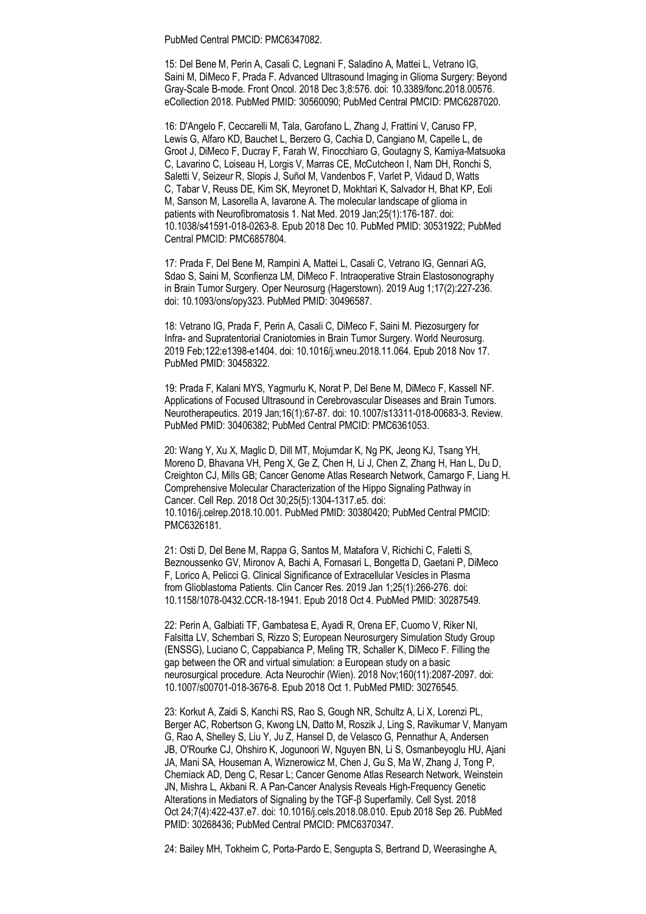PubMed Central PMCID: PMC6347082.

15: Del Bene M, Perin A, Casali C, Legnani F, Saladino A, Mattei L, Vetrano IG, Saini M, DiMeco F, Prada F. Advanced Ultrasound Imaging in Glioma Surgery: Beyond Gray-Scale B-mode. Front Oncol. 2018 Dec 3;8:576. doi: 10.3389/fonc.2018.00576. eCollection 2018. PubMed PMID: 30560090; PubMed Central PMCID: PMC6287020.

16: D'Angelo F, Ceccarelli M, Tala, Garofano L, Zhang J, Frattini V, Caruso FP, Lewis G, Alfaro KD, Bauchet L, Berzero G, Cachia D, Cangiano M, Capelle L, de Groot J, DiMeco F, Ducray F, Farah W, Finocchiaro G, Goutagny S, Kamiya-Matsuoka C, Lavarino C, Loiseau H, Lorgis V, Marras CE, McCutcheon I, Nam DH, Ronchi S, Saletti V, Seizeur R, Slopis J, Suñol M, Vandenbos F, Varlet P, Vidaud D, Watts C, Tabar V, Reuss DE, Kim SK, Meyronet D, Mokhtari K, Salvador H, Bhat KP, Eoli M, Sanson M, Lasorella A, Iavarone A. The molecular landscape of glioma in patients with Neurofibromatosis 1. Nat Med. 2019 Jan;25(1):176-187. doi: 10.1038/s41591-018-0263-8. Epub 2018 Dec 10. PubMed PMID: 30531922; PubMed Central PMCID: PMC6857804.

17: Prada F, Del Bene M, Rampini A, Mattei L, Casali C, Vetrano IG, Gennari AG, Sdao S, Saini M, Sconfienza LM, DiMeco F. Intraoperative Strain Elastosonography in Brain Tumor Surgery. Oper Neurosurg (Hagerstown). 2019 Aug 1;17(2):227-236. doi: 10.1093/ons/opy323. PubMed PMID: 30496587.

18: Vetrano IG, Prada F, Perin A, Casali C, DiMeco F, Saini M. Piezosurgery for Infra- and Supratentorial Craniotomies in Brain Tumor Surgery. World Neurosurg. 2019 Feb;122:e1398-e1404. doi: 10.1016/j.wneu.2018.11.064. Epub 2018 Nov 17. PubMed PMID: 30458322.

19: Prada F, Kalani MYS, Yagmurlu K, Norat P, Del Bene M, DiMeco F, Kassell NF. Applications of Focused Ultrasound in Cerebrovascular Diseases and Brain Tumors. Neurotherapeutics. 2019 Jan;16(1):67-87. doi: 10.1007/s13311-018-00683-3. Review. PubMed PMID: 30406382; PubMed Central PMCID: PMC6361053.

20: Wang Y, Xu X, Maglic D, Dill MT, Mojumdar K, Ng PK, Jeong KJ, Tsang YH, Moreno D, Bhavana VH, Peng X, Ge Z, Chen H, Li J, Chen Z, Zhang H, Han L, Du D, Creighton CJ, Mills GB; Cancer Genome Atlas Research Network, Camargo F, Liang H. Comprehensive Molecular Characterization of the Hippo Signaling Pathway in Cancer. Cell Rep. 2018 Oct 30;25(5):1304-1317.e5. doi: 10.1016/j.celrep.2018.10.001. PubMed PMID: 30380420; PubMed Central PMCID: PMC6326181.

21: Osti D, Del Bene M, Rappa G, Santos M, Matafora V, Richichi C, Faletti S, Beznoussenko GV, Mironov A, Bachi A, Fornasari L, Bongetta D, Gaetani P, DiMeco F, Lorico A, Pelicci G. Clinical Significance of Extracellular Vesicles in Plasma from Glioblastoma Patients. Clin Cancer Res. 2019 Jan 1;25(1):266-276. doi: 10.1158/1078-0432.CCR-18-1941. Epub 2018 Oct 4. PubMed PMID: 30287549.

22: Perin A, Galbiati TF, Gambatesa E, Ayadi R, Orena EF, Cuomo V, Riker NI, Falsitta LV, Schembari S, Rizzo S; European Neurosurgery Simulation Study Group (ENSSG), Luciano C, Cappabianca P, Meling TR, Schaller K, DiMeco F. Filling the gap between the OR and virtual simulation: a European study on a basic neurosurgical procedure. Acta Neurochir (Wien). 2018 Nov;160(11):2087-2097. doi: 10.1007/s00701-018-3676-8. Epub 2018 Oct 1. PubMed PMID: 30276545.

23: Korkut A, Zaidi S, Kanchi RS, Rao S, Gough NR, Schultz A, Li X, Lorenzi PL, Berger AC, Robertson G, Kwong LN, Datto M, Roszik J, Ling S, Ravikumar V, Manyam G, Rao A, Shelley S, Liu Y, Ju Z, Hansel D, de Velasco G, Pennathur A, Andersen JB, O'Rourke CJ, Ohshiro K, Jogunoori W, Nguyen BN, Li S, Osmanbeyoglu HU, Ajani JA, Mani SA, Houseman A, Wiznerowicz M, Chen J, Gu S, Ma W, Zhang J, Tong P, Cherniack AD, Deng C, Resar L; Cancer Genome Atlas Research Network, Weinstein JN, Mishra L, Akbani R. A Pan-Cancer Analysis Reveals High-Frequency Genetic Alterations in Mediators of Signaling by the TGF-β Superfamily. Cell Syst. 2018 Oct 24;7(4):422-437.e7. doi: 10.1016/j.cels.2018.08.010. Epub 2018 Sep 26. PubMed PMID: 30268436; PubMed Central PMCID: PMC6370347.

24: Bailey MH, Tokheim C, Porta-Pardo E, Sengupta S, Bertrand D, Weerasinghe A,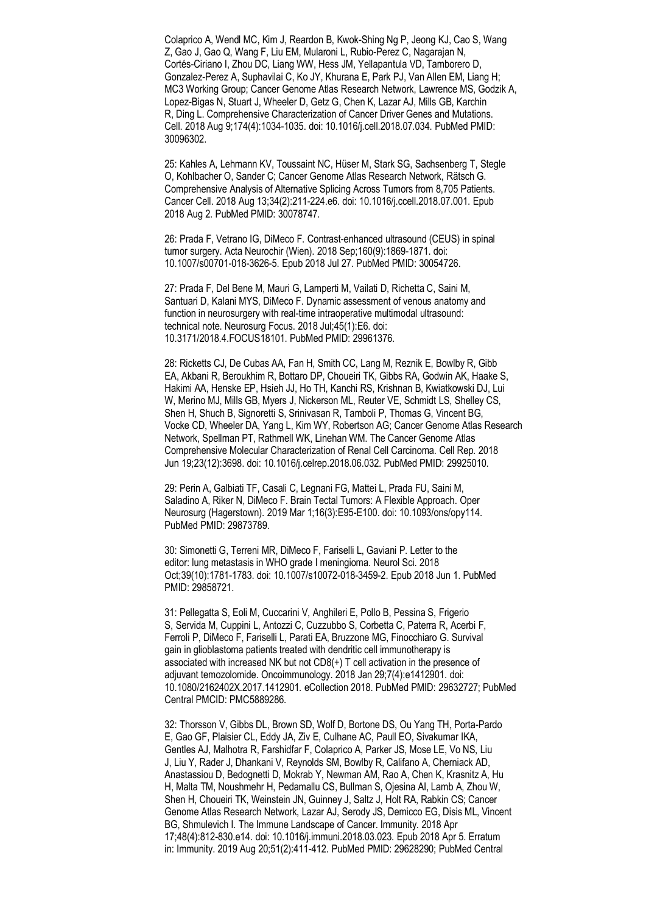Colaprico A, Wendl MC, Kim J, Reardon B, Kwok-Shing Ng P, Jeong KJ, Cao S, Wang Z, Gao J, Gao Q, Wang F, Liu EM, Mularoni L, Rubio-Perez C, Nagarajan N, Cortés-Ciriano I, Zhou DC, Liang WW, Hess JM, Yellapantula VD, Tamborero D, Gonzalez-Perez A, Suphavilai C, Ko JY, Khurana E, Park PJ, Van Allen EM, Liang H; MC3 Working Group; Cancer Genome Atlas Research Network, Lawrence MS, Godzik A, Lopez-Bigas N, Stuart J, Wheeler D, Getz G, Chen K, Lazar AJ, Mills GB, Karchin R, Ding L. Comprehensive Characterization of Cancer Driver Genes and Mutations. Cell. 2018 Aug 9;174(4):1034-1035. doi: 10.1016/j.cell.2018.07.034. PubMed PMID: 30096302.

25: Kahles A, Lehmann KV, Toussaint NC, Hüser M, Stark SG, Sachsenberg T, Stegle O, Kohlbacher O, Sander C; Cancer Genome Atlas Research Network, Rätsch G. Comprehensive Analysis of Alternative Splicing Across Tumors from 8,705 Patients. Cancer Cell. 2018 Aug 13;34(2):211-224.e6. doi: 10.1016/j.ccell.2018.07.001. Epub 2018 Aug 2. PubMed PMID: 30078747.

26: Prada F, Vetrano IG, DiMeco F. Contrast-enhanced ultrasound (CEUS) in spinal tumor surgery. Acta Neurochir (Wien). 2018 Sep;160(9):1869-1871. doi: 10.1007/s00701-018-3626-5. Epub 2018 Jul 27. PubMed PMID: 30054726.

27: Prada F, Del Bene M, Mauri G, Lamperti M, Vailati D, Richetta C, Saini M, Santuari D, Kalani MYS, DiMeco F. Dynamic assessment of venous anatomy and function in neurosurgery with real-time intraoperative multimodal ultrasound: technical note. Neurosurg Focus. 2018 Jul;45(1):E6. doi: 10.3171/2018.4.FOCUS18101. PubMed PMID: 29961376.

28: Ricketts CJ, De Cubas AA, Fan H, Smith CC, Lang M, Reznik E, Bowlby R, Gibb EA, Akbani R, Beroukhim R, Bottaro DP, Choueiri TK, Gibbs RA, Godwin AK, Haake S, Hakimi AA, Henske EP, Hsieh JJ, Ho TH, Kanchi RS, Krishnan B, Kwiatkowski DJ, Lui W, Merino MJ, Mills GB, Myers J, Nickerson ML, Reuter VE, Schmidt LS, Shelley CS, Shen H, Shuch B, Signoretti S, Srinivasan R, Tamboli P, Thomas G, Vincent BG, Vocke CD, Wheeler DA, Yang L, Kim WY, Robertson AG; Cancer Genome Atlas Research Network, Spellman PT, Rathmell WK, Linehan WM. The Cancer Genome Atlas Comprehensive Molecular Characterization of Renal Cell Carcinoma. Cell Rep. 2018 Jun 19;23(12):3698. doi: 10.1016/j.celrep.2018.06.032. PubMed PMID: 29925010.

29: Perin A, Galbiati TF, Casali C, Legnani FG, Mattei L, Prada FU, Saini M, Saladino A, Riker N, DiMeco F. Brain Tectal Tumors: A Flexible Approach. Oper Neurosurg (Hagerstown). 2019 Mar 1;16(3):E95-E100. doi: 10.1093/ons/opy114. PubMed PMID: 29873789.

30: Simonetti G, Terreni MR, DiMeco F, Fariselli L, Gaviani P. Letter to the editor: lung metastasis in WHO grade I meningioma. Neurol Sci. 2018 Oct;39(10):1781-1783. doi: 10.1007/s10072-018-3459-2. Epub 2018 Jun 1. PubMed PMID: 29858721.

31: Pellegatta S, Eoli M, Cuccarini V, Anghileri E, Pollo B, Pessina S, Frigerio S, Servida M, Cuppini L, Antozzi C, Cuzzubbo S, Corbetta C, Paterra R, Acerbi F, Ferroli P, DiMeco F, Fariselli L, Parati EA, Bruzzone MG, Finocchiaro G. Survival gain in glioblastoma patients treated with dendritic cell immunotherapy is associated with increased NK but not CD8(+) T cell activation in the presence of adjuvant temozolomide. Oncoimmunology. 2018 Jan 29;7(4):e1412901. doi: 10.1080/2162402X.2017.1412901. eCollection 2018. PubMed PMID: 29632727; PubMed Central PMCID: PMC5889286.

32: Thorsson V, Gibbs DL, Brown SD, Wolf D, Bortone DS, Ou Yang TH, Porta-Pardo E, Gao GF, Plaisier CL, Eddy JA, Ziv E, Culhane AC, Paull EO, Sivakumar IKA, Gentles AJ, Malhotra R, Farshidfar F, Colaprico A, Parker JS, Mose LE, Vo NS, Liu J, Liu Y, Rader J, Dhankani V, Reynolds SM, Bowlby R, Califano A, Cherniack AD, Anastassiou D, Bedognetti D, Mokrab Y, Newman AM, Rao A, Chen K, Krasnitz A, Hu H, Malta TM, Noushmehr H, Pedamallu CS, Bullman S, Ojesina AI, Lamb A, Zhou W, Shen H, Choueiri TK, Weinstein JN, Guinney J, Saltz J, Holt RA, Rabkin CS; Cancer Genome Atlas Research Network, Lazar AJ, Serody JS, Demicco EG, Disis ML, Vincent BG, Shmulevich I. The Immune Landscape of Cancer. Immunity. 2018 Apr 17;48(4):812-830.e14. doi: 10.1016/j.immuni.2018.03.023. Epub 2018 Apr 5. Erratum in: Immunity. 2019 Aug 20;51(2):411-412. PubMed PMID: 29628290; PubMed Central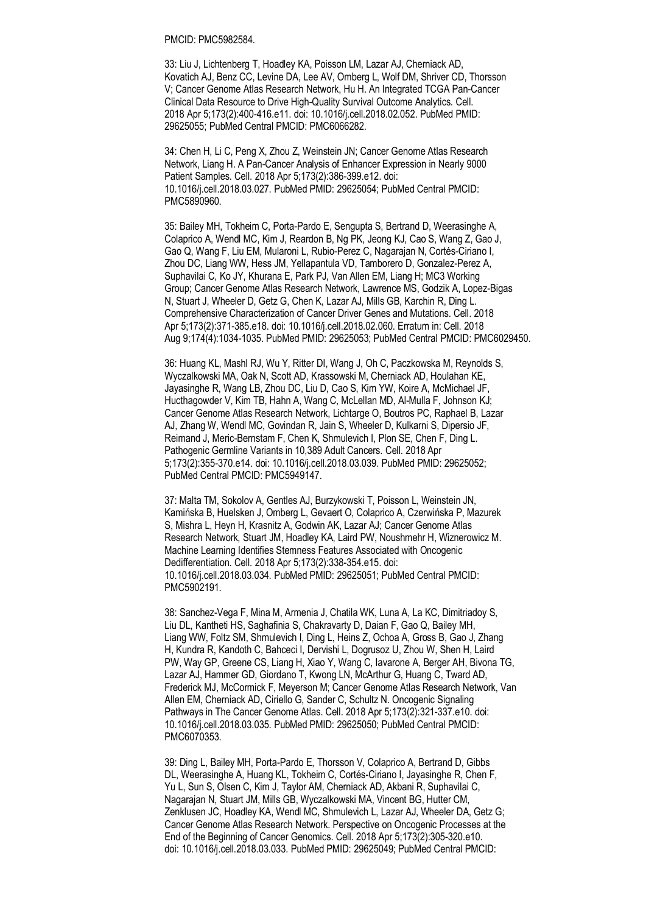PMCID: PMC5982584.

33: Liu J, Lichtenberg T, Hoadley KA, Poisson LM, Lazar AJ, Cherniack AD, Kovatich AJ, Benz CC, Levine DA, Lee AV, Omberg L, Wolf DM, Shriver CD, Thorsson V; Cancer Genome Atlas Research Network, Hu H. An Integrated TCGA Pan-Cancer Clinical Data Resource to Drive High-Quality Survival Outcome Analytics. Cell. 2018 Apr 5;173(2):400-416.e11. doi: 10.1016/j.cell.2018.02.052. PubMed PMID: 29625055; PubMed Central PMCID: PMC6066282.

34: Chen H, Li C, Peng X, Zhou Z, Weinstein JN; Cancer Genome Atlas Research Network, Liang H. A Pan-Cancer Analysis of Enhancer Expression in Nearly 9000 Patient Samples. Cell. 2018 Apr 5;173(2):386-399.e12. doi: 10.1016/j.cell.2018.03.027. PubMed PMID: 29625054; PubMed Central PMCID: PMC5890960.

35: Bailey MH, Tokheim C, Porta-Pardo E, Sengupta S, Bertrand D, Weerasinghe A, Colaprico A, Wendl MC, Kim J, Reardon B, Ng PK, Jeong KJ, Cao S, Wang Z, Gao J, Gao Q, Wang F, Liu EM, Mularoni L, Rubio-Perez C, Nagarajan N, Cortés-Ciriano I, Zhou DC, Liang WW, Hess JM, Yellapantula VD, Tamborero D, Gonzalez-Perez A, Suphavilai C, Ko JY, Khurana E, Park PJ, Van Allen EM, Liang H; MC3 Working Group; Cancer Genome Atlas Research Network, Lawrence MS, Godzik A, Lopez-Bigas N, Stuart J, Wheeler D, Getz G, Chen K, Lazar AJ, Mills GB, Karchin R, Ding L. Comprehensive Characterization of Cancer Driver Genes and Mutations. Cell. 2018 Apr 5;173(2):371-385.e18. doi: 10.1016/j.cell.2018.02.060. Erratum in: Cell. 2018 Aug 9;174(4):1034-1035. PubMed PMID: 29625053; PubMed Central PMCID: PMC6029450.

36: Huang KL, Mashl RJ, Wu Y, Ritter DI, Wang J, Oh C, Paczkowska M, Reynolds S, Wyczalkowski MA, Oak N, Scott AD, Krassowski M, Cherniack AD, Houlahan KE, Jayasinghe R, Wang LB, Zhou DC, Liu D, Cao S, Kim YW, Koire A, McMichael JF, Hucthagowder V, Kim TB, Hahn A, Wang C, McLellan MD, Al-Mulla F, Johnson KJ; Cancer Genome Atlas Research Network, Lichtarge O, Boutros PC, Raphael B, Lazar AJ, Zhang W, Wendl MC, Govindan R, Jain S, Wheeler D, Kulkarni S, Dipersio JF, Reimand J, Meric-Bernstam F, Chen K, Shmulevich I, Plon SE, Chen F, Ding L. Pathogenic Germline Variants in 10,389 Adult Cancers. Cell. 2018 Apr 5;173(2):355-370.e14. doi: 10.1016/j.cell.2018.03.039. PubMed PMID: 29625052; PubMed Central PMCID: PMC5949147.

37: Malta TM, Sokolov A, Gentles AJ, Burzykowski T, Poisson L, Weinstein JN, Kamińska B, Huelsken J, Omberg L, Gevaert O, Colaprico A, Czerwińska P, Mazurek S, Mishra L, Heyn H, Krasnitz A, Godwin AK, Lazar AJ; Cancer Genome Atlas Research Network, Stuart JM, Hoadley KA, Laird PW, Noushmehr H, Wiznerowicz M. Machine Learning Identifies Stemness Features Associated with Oncogenic Dedifferentiation. Cell. 2018 Apr 5;173(2):338-354.e15. doi: 10.1016/j.cell.2018.03.034. PubMed PMID: 29625051; PubMed Central PMCID: PMC5902191.

38: Sanchez-Vega F, Mina M, Armenia J, Chatila WK, Luna A, La KC, Dimitriadoy S, Liu DL, Kantheti HS, Saghafinia S, Chakravarty D, Daian F, Gao Q, Bailey MH, Liang WW, Foltz SM, Shmulevich I, Ding L, Heins Z, Ochoa A, Gross B, Gao J, Zhang H, Kundra R, Kandoth C, Bahceci I, Dervishi L, Dogrusoz U, Zhou W, Shen H, Laird PW, Way GP, Greene CS, Liang H, Xiao Y, Wang C, Iavarone A, Berger AH, Bivona TG, Lazar AJ, Hammer GD, Giordano T, Kwong LN, McArthur G, Huang C, Tward AD, Frederick MJ, McCormick F, Meyerson M; Cancer Genome Atlas Research Network, Van Allen EM, Cherniack AD, Ciriello G, Sander C, Schultz N. Oncogenic Signaling Pathways in The Cancer Genome Atlas. Cell. 2018 Apr 5;173(2):321-337.e10. doi: 10.1016/j.cell.2018.03.035. PubMed PMID: 29625050; PubMed Central PMCID: PMC6070353.

39: Ding L, Bailey MH, Porta-Pardo E, Thorsson V, Colaprico A, Bertrand D, Gibbs DL, Weerasinghe A, Huang KL, Tokheim C, Cortés-Ciriano I, Jayasinghe R, Chen F, Yu L, Sun S, Olsen C, Kim J, Taylor AM, Cherniack AD, Akbani R, Suphavilai C, Nagarajan N, Stuart JM, Mills GB, Wyczalkowski MA, Vincent BG, Hutter CM, Zenklusen JC, Hoadley KA, Wendl MC, Shmulevich L, Lazar AJ, Wheeler DA, Getz G; Cancer Genome Atlas Research Network. Perspective on Oncogenic Processes at the End of the Beginning of Cancer Genomics. Cell. 2018 Apr 5;173(2):305-320.e10. doi: 10.1016/j.cell.2018.03.033. PubMed PMID: 29625049; PubMed Central PMCID: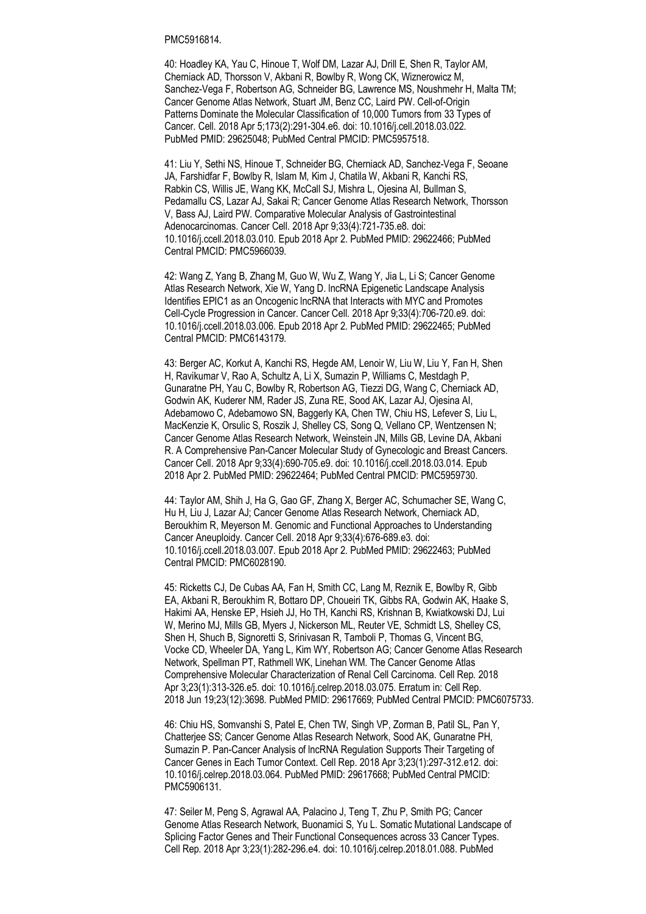### PMC5916814.

40: Hoadley KA, Yau C, Hinoue T, Wolf DM, Lazar AJ, Drill E, Shen R, Taylor AM, Cherniack AD, Thorsson V, Akbani R, Bowlby R, Wong CK, Wiznerowicz M, Sanchez-Vega F, Robertson AG, Schneider BG, Lawrence MS, Noushmehr H, Malta TM; Cancer Genome Atlas Network, Stuart JM, Benz CC, Laird PW. Cell-of-Origin Patterns Dominate the Molecular Classification of 10,000 Tumors from 33 Types of Cancer. Cell. 2018 Apr 5;173(2):291-304.e6. doi: 10.1016/j.cell.2018.03.022. PubMed PMID: 29625048; PubMed Central PMCID: PMC5957518.

41: Liu Y, Sethi NS, Hinoue T, Schneider BG, Cherniack AD, Sanchez-Vega F, Seoane JA, Farshidfar F, Bowlby R, Islam M, Kim J, Chatila W, Akbani R, Kanchi RS, Rabkin CS, Willis JE, Wang KK, McCall SJ, Mishra L, Ojesina AI, Bullman S, Pedamallu CS, Lazar AJ, Sakai R; Cancer Genome Atlas Research Network, Thorsson V, Bass AJ, Laird PW. Comparative Molecular Analysis of Gastrointestinal Adenocarcinomas. Cancer Cell. 2018 Apr 9;33(4):721-735.e8. doi: 10.1016/j.ccell.2018.03.010. Epub 2018 Apr 2. PubMed PMID: 29622466; PubMed Central PMCID: PMC5966039.

42: Wang Z, Yang B, Zhang M, Guo W, Wu Z, Wang Y, Jia L, Li S; Cancer Genome Atlas Research Network, Xie W, Yang D. lncRNA Epigenetic Landscape Analysis Identifies EPIC1 as an Oncogenic lncRNA that Interacts with MYC and Promotes Cell-Cycle Progression in Cancer. Cancer Cell. 2018 Apr 9;33(4):706-720.e9. doi: 10.1016/j.ccell.2018.03.006. Epub 2018 Apr 2. PubMed PMID: 29622465; PubMed Central PMCID: PMC6143179.

43: Berger AC, Korkut A, Kanchi RS, Hegde AM, Lenoir W, Liu W, Liu Y, Fan H, Shen H, Ravikumar V, Rao A, Schultz A, Li X, Sumazin P, Williams C, Mestdagh P, Gunaratne PH, Yau C, Bowlby R, Robertson AG, Tiezzi DG, Wang C, Cherniack AD, Godwin AK, Kuderer NM, Rader JS, Zuna RE, Sood AK, Lazar AJ, Ojesina AI, Adebamowo C, Adebamowo SN, Baggerly KA, Chen TW, Chiu HS, Lefever S, Liu L, MacKenzie K, Orsulic S, Roszik J, Shelley CS, Song Q, Vellano CP, Wentzensen N; Cancer Genome Atlas Research Network, Weinstein JN, Mills GB, Levine DA, Akbani R. A Comprehensive Pan-Cancer Molecular Study of Gynecologic and Breast Cancers. Cancer Cell. 2018 Apr 9;33(4):690-705.e9. doi: 10.1016/j.ccell.2018.03.014. Epub 2018 Apr 2. PubMed PMID: 29622464; PubMed Central PMCID: PMC5959730.

44: Taylor AM, Shih J, Ha G, Gao GF, Zhang X, Berger AC, Schumacher SE, Wang C, Hu H, Liu J, Lazar AJ; Cancer Genome Atlas Research Network, Cherniack AD, Beroukhim R, Meyerson M. Genomic and Functional Approaches to Understanding Cancer Aneuploidy. Cancer Cell. 2018 Apr 9;33(4):676-689.e3. doi: 10.1016/j.ccell.2018.03.007. Epub 2018 Apr 2. PubMed PMID: 29622463; PubMed Central PMCID: PMC6028190.

45: Ricketts CJ, De Cubas AA, Fan H, Smith CC, Lang M, Reznik E, Bowlby R, Gibb EA, Akbani R, Beroukhim R, Bottaro DP, Choueiri TK, Gibbs RA, Godwin AK, Haake S, Hakimi AA, Henske EP, Hsieh JJ, Ho TH, Kanchi RS, Krishnan B, Kwiatkowski DJ, Lui W, Merino MJ, Mills GB, Myers J, Nickerson ML, Reuter VE, Schmidt LS, Shelley CS, Shen H, Shuch B, Signoretti S, Srinivasan R, Tamboli P, Thomas G, Vincent BG, Vocke CD, Wheeler DA, Yang L, Kim WY, Robertson AG; Cancer Genome Atlas Research Network, Spellman PT, Rathmell WK, Linehan WM. The Cancer Genome Atlas Comprehensive Molecular Characterization of Renal Cell Carcinoma. Cell Rep. 2018 Apr 3;23(1):313-326.e5. doi: 10.1016/j.celrep.2018.03.075. Erratum in: Cell Rep. 2018 Jun 19;23(12):3698. PubMed PMID: 29617669; PubMed Central PMCID: PMC6075733.

46: Chiu HS, Somvanshi S, Patel E, Chen TW, Singh VP, Zorman B, Patil SL, Pan Y, Chatterjee SS; Cancer Genome Atlas Research Network, Sood AK, Gunaratne PH, Sumazin P. Pan-Cancer Analysis of lncRNA Regulation Supports Their Targeting of Cancer Genes in Each Tumor Context. Cell Rep. 2018 Apr 3;23(1):297-312.e12. doi: 10.1016/j.celrep.2018.03.064. PubMed PMID: 29617668; PubMed Central PMCID: PMC5906131.

47: Seiler M, Peng S, Agrawal AA, Palacino J, Teng T, Zhu P, Smith PG; Cancer Genome Atlas Research Network, Buonamici S, Yu L. Somatic Mutational Landscape of Splicing Factor Genes and Their Functional Consequences across 33 Cancer Types. Cell Rep. 2018 Apr 3;23(1):282-296.e4. doi: 10.1016/j.celrep.2018.01.088. PubMed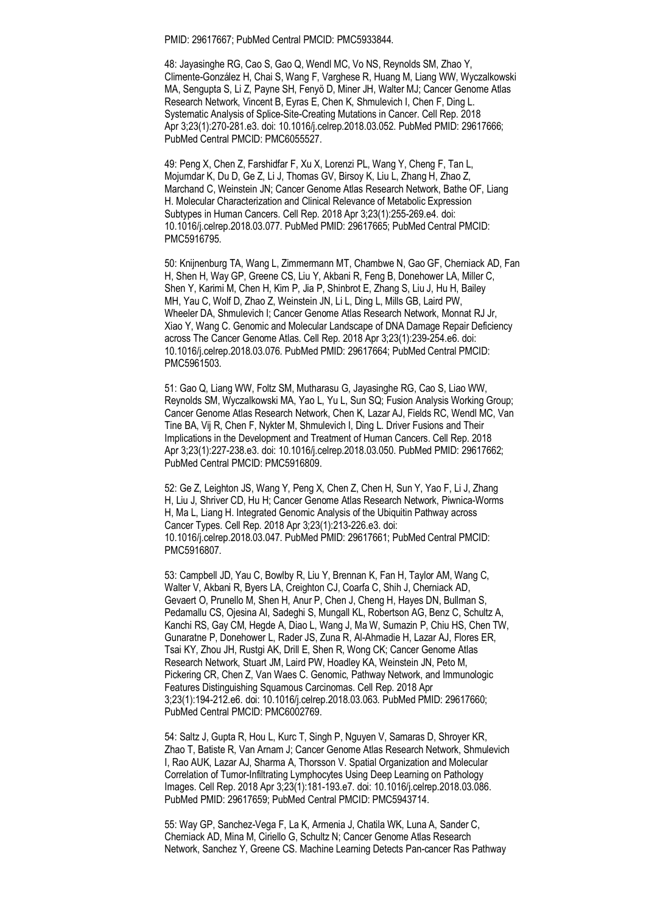PMID: 29617667; PubMed Central PMCID: PMC5933844.

48: Jayasinghe RG, Cao S, Gao Q, Wendl MC, Vo NS, Reynolds SM, Zhao Y, Climente-González H, Chai S, Wang F, Varghese R, Huang M, Liang WW, Wyczalkowski MA, Sengupta S, Li Z, Payne SH, Fenyö D, Miner JH, Walter MJ; Cancer Genome Atlas Research Network, Vincent B, Eyras E, Chen K, Shmulevich I, Chen F, Ding L. Systematic Analysis of Splice-Site-Creating Mutations in Cancer. Cell Rep. 2018 Apr 3;23(1):270-281.e3. doi: 10.1016/j.celrep.2018.03.052. PubMed PMID: 29617666; PubMed Central PMCID: PMC6055527.

49: Peng X, Chen Z, Farshidfar F, Xu X, Lorenzi PL, Wang Y, Cheng F, Tan L, Mojumdar K, Du D, Ge Z, Li J, Thomas GV, Birsoy K, Liu L, Zhang H, Zhao Z, Marchand C, Weinstein JN; Cancer Genome Atlas Research Network, Bathe OF, Liang H. Molecular Characterization and Clinical Relevance of Metabolic Expression Subtypes in Human Cancers. Cell Rep. 2018 Apr 3;23(1):255-269.e4. doi: 10.1016/j.celrep.2018.03.077. PubMed PMID: 29617665; PubMed Central PMCID: PMC5916795.

50: Knijnenburg TA, Wang L, Zimmermann MT, Chambwe N, Gao GF, Cherniack AD, Fan H, Shen H, Way GP, Greene CS, Liu Y, Akbani R, Feng B, Donehower LA, Miller C, Shen Y, Karimi M, Chen H, Kim P, Jia P, Shinbrot E, Zhang S, Liu J, Hu H, Bailey MH, Yau C, Wolf D, Zhao Z, Weinstein JN, Li L, Ding L, Mills GB, Laird PW, Wheeler DA, Shmulevich I; Cancer Genome Atlas Research Network, Monnat RJ Jr, Xiao Y, Wang C. Genomic and Molecular Landscape of DNA Damage Repair Deficiency across The Cancer Genome Atlas. Cell Rep. 2018 Apr 3;23(1):239-254.e6. doi: 10.1016/j.celrep.2018.03.076. PubMed PMID: 29617664; PubMed Central PMCID: PMC5961503.

51: Gao Q, Liang WW, Foltz SM, Mutharasu G, Jayasinghe RG, Cao S, Liao WW, Reynolds SM, Wyczalkowski MA, Yao L, Yu L, Sun SQ; Fusion Analysis Working Group; Cancer Genome Atlas Research Network, Chen K, Lazar AJ, Fields RC, Wendl MC, Van Tine BA, Vij R, Chen F, Nykter M, Shmulevich I, Ding L. Driver Fusions and Their Implications in the Development and Treatment of Human Cancers. Cell Rep. 2018 Apr 3;23(1):227-238.e3. doi: 10.1016/j.celrep.2018.03.050. PubMed PMID: 29617662; PubMed Central PMCID: PMC5916809.

52: Ge Z, Leighton JS, Wang Y, Peng X, Chen Z, Chen H, Sun Y, Yao F, Li J, Zhang H, Liu J, Shriver CD, Hu H; Cancer Genome Atlas Research Network, Piwnica-Worms H, Ma L, Liang H. Integrated Genomic Analysis of the Ubiquitin Pathway across Cancer Types. Cell Rep. 2018 Apr 3;23(1):213-226.e3. doi: 10.1016/j.celrep.2018.03.047. PubMed PMID: 29617661; PubMed Central PMCID: PMC5916807.

53: Campbell JD, Yau C, Bowlby R, Liu Y, Brennan K, Fan H, Taylor AM, Wang C, Walter V, Akbani R, Byers LA, Creighton CJ, Coarfa C, Shih J, Cherniack AD, Gevaert O, Prunello M, Shen H, Anur P, Chen J, Cheng H, Hayes DN, Bullman S, Pedamallu CS, Ojesina AI, Sadeghi S, Mungall KL, Robertson AG, Benz C, Schultz A, Kanchi RS, Gay CM, Hegde A, Diao L, Wang J, Ma W, Sumazin P, Chiu HS, Chen TW, Gunaratne P, Donehower L, Rader JS, Zuna R, Al-Ahmadie H, Lazar AJ, Flores ER, Tsai KY, Zhou JH, Rustgi AK, Drill E, Shen R, Wong CK; Cancer Genome Atlas Research Network, Stuart JM, Laird PW, Hoadley KA, Weinstein JN, Peto M, Pickering CR, Chen Z, Van Waes C. Genomic, Pathway Network, and Immunologic Features Distinguishing Squamous Carcinomas. Cell Rep. 2018 Apr 3;23(1):194-212.e6. doi: 10.1016/j.celrep.2018.03.063. PubMed PMID: 29617660; PubMed Central PMCID: PMC6002769.

54: Saltz J, Gupta R, Hou L, Kurc T, Singh P, Nguyen V, Samaras D, Shroyer KR, Zhao T, Batiste R, Van Arnam J; Cancer Genome Atlas Research Network, Shmulevich I, Rao AUK, Lazar AJ, Sharma A, Thorsson V. Spatial Organization and Molecular Correlation of Tumor-Infiltrating Lymphocytes Using Deep Learning on Pathology Images. Cell Rep. 2018 Apr 3;23(1):181-193.e7. doi: 10.1016/j.celrep.2018.03.086. PubMed PMID: 29617659; PubMed Central PMCID: PMC5943714.

55: Way GP, Sanchez-Vega F, La K, Armenia J, Chatila WK, Luna A, Sander C, Cherniack AD, Mina M, Ciriello G, Schultz N; Cancer Genome Atlas Research Network, Sanchez Y, Greene CS. Machine Learning Detects Pan-cancer Ras Pathway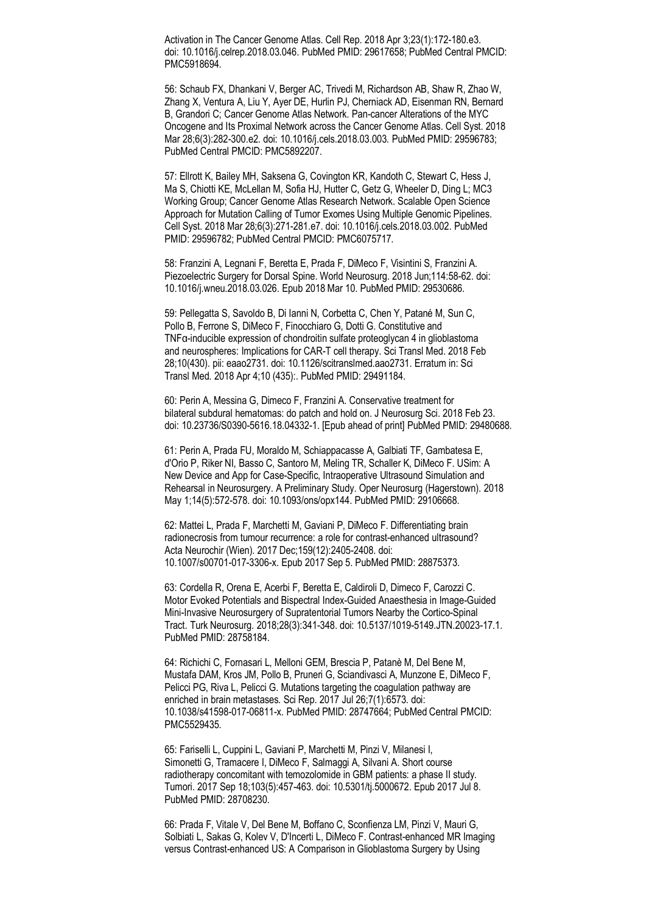Activation in The Cancer Genome Atlas. Cell Rep. 2018 Apr 3;23(1):172-180.e3. doi: 10.1016/j.celrep.2018.03.046. PubMed PMID: 29617658; PubMed Central PMCID: PMC5918694.

56: Schaub FX, Dhankani V, Berger AC, Trivedi M, Richardson AB, Shaw R, Zhao W, Zhang X, Ventura A, Liu Y, Ayer DE, Hurlin PJ, Cherniack AD, Eisenman RN, Bernard B, Grandori C; Cancer Genome Atlas Network. Pan-cancer Alterations of the MYC Oncogene and Its Proximal Network across the Cancer Genome Atlas. Cell Syst. 2018 Mar 28;6(3):282-300.e2. doi: 10.1016/j.cels.2018.03.003. PubMed PMID: 29596783; PubMed Central PMCID: PMC5892207.

57: Ellrott K, Bailey MH, Saksena G, Covington KR, Kandoth C, Stewart C, Hess J, Ma S, Chiotti KE, McLellan M, Sofia HJ, Hutter C, Getz G, Wheeler D, Ding L; MC3 Working Group; Cancer Genome Atlas Research Network. Scalable Open Science Approach for Mutation Calling of Tumor Exomes Using Multiple Genomic Pipelines. Cell Syst. 2018 Mar 28;6(3):271-281.e7. doi: 10.1016/j.cels.2018.03.002. PubMed PMID: 29596782; PubMed Central PMCID: PMC6075717.

58: Franzini A, Legnani F, Beretta E, Prada F, DiMeco F, Visintini S, Franzini A. Piezoelectric Surgery for Dorsal Spine. World Neurosurg. 2018 Jun;114:58-62. doi: 10.1016/j.wneu.2018.03.026. Epub 2018 Mar 10. PubMed PMID: 29530686.

59: Pellegatta S, Savoldo B, Di Ianni N, Corbetta C, Chen Y, Patané M, Sun C, Pollo B, Ferrone S, DiMeco F, Finocchiaro G, Dotti G. Constitutive and TNFα-inducible expression of chondroitin sulfate proteoglycan 4 in glioblastoma and neurospheres: Implications for CAR-T cell therapy. Sci Transl Med. 2018 Feb 28;10(430). pii: eaao2731. doi: 10.1126/scitranslmed.aao2731. Erratum in: Sci Transl Med. 2018 Apr 4;10 (435):. PubMed PMID: 29491184.

60: Perin A, Messina G, Dimeco F, Franzini A. Conservative treatment for bilateral subdural hematomas: do patch and hold on. J Neurosurg Sci. 2018 Feb 23. doi: 10.23736/S0390-5616.18.04332-1. [Epub ahead of print] PubMed PMID: 29480688.

61: Perin A, Prada FU, Moraldo M, Schiappacasse A, Galbiati TF, Gambatesa E, d'Orio P, Riker NI, Basso C, Santoro M, Meling TR, Schaller K, DiMeco F. USim: A New Device and App for Case-Specific, Intraoperative Ultrasound Simulation and Rehearsal in Neurosurgery. A Preliminary Study. Oper Neurosurg (Hagerstown). 2018 May 1;14(5):572-578. doi: 10.1093/ons/opx144. PubMed PMID: 29106668.

62: Mattei L, Prada F, Marchetti M, Gaviani P, DiMeco F. Differentiating brain radionecrosis from tumour recurrence: a role for contrast-enhanced ultrasound? Acta Neurochir (Wien). 2017 Dec;159(12):2405-2408. doi: 10.1007/s00701-017-3306-x. Epub 2017 Sep 5. PubMed PMID: 28875373.

63: Cordella R, Orena E, Acerbi F, Beretta E, Caldiroli D, Dimeco F, Carozzi C. Motor Evoked Potentials and Bispectral Index-Guided Anaesthesia in Image-Guided Mini-Invasive Neurosurgery of Supratentorial Tumors Nearby the Cortico-Spinal Tract. Turk Neurosurg. 2018;28(3):341-348. doi: 10.5137/1019-5149.JTN.20023-17.1. PubMed PMID: 28758184.

64: Richichi C, Fornasari L, Melloni GEM, Brescia P, Patanè M, Del Bene M, Mustafa DAM, Kros JM, Pollo B, Pruneri G, Sciandivasci A, Munzone E, DiMeco F, Pelicci PG, Riva L, Pelicci G. Mutations targeting the coagulation pathway are enriched in brain metastases. Sci Rep. 2017 Jul 26;7(1):6573. doi: 10.1038/s41598-017-06811-x. PubMed PMID: 28747664; PubMed Central PMCID: PMC5529435.

65: Fariselli L, Cuppini L, Gaviani P, Marchetti M, Pinzi V, Milanesi I, Simonetti G, Tramacere I, DiMeco F, Salmaggi A, Silvani A. Short course radiotherapy concomitant with temozolomide in GBM patients: a phase II study. Tumori. 2017 Sep 18;103(5):457-463. doi: 10.5301/tj.5000672. Epub 2017 Jul 8. PubMed PMID: 28708230.

66: Prada F, Vitale V, Del Bene M, Boffano C, Sconfienza LM, Pinzi V, Mauri G, Solbiati L, Sakas G, Kolev V, D'Incerti L, DiMeco F. Contrast-enhanced MR Imaging versus Contrast-enhanced US: A Comparison in Glioblastoma Surgery by Using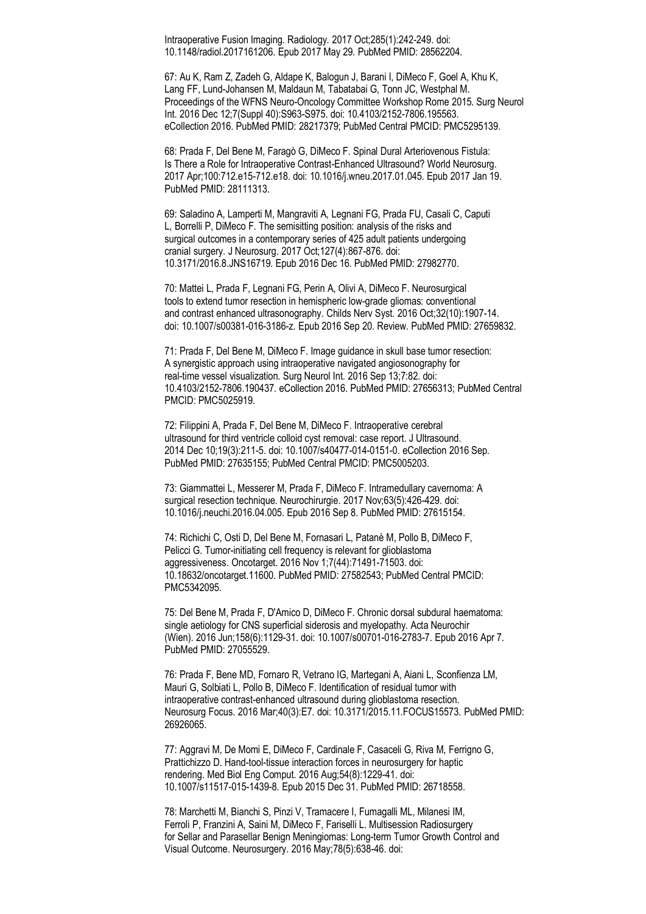Intraoperative Fusion Imaging. Radiology. 2017 Oct;285(1):242-249. doi: 10.1148/radiol.2017161206. Epub 2017 May 29. PubMed PMID: 28562204.

67: Au K, Ram Z, Zadeh G, Aldape K, Balogun J, Barani I, DiMeco F, Goel A, Khu K, Lang FF, Lund-Johansen M, Maldaun M, Tabatabai G, Tonn JC, Westphal M. Proceedings of the WFNS Neuro-Oncology Committee Workshop Rome 2015. Surg Neurol Int. 2016 Dec 12;7(Suppl 40):S963-S975. doi: 10.4103/2152-7806.195563. eCollection 2016. PubMed PMID: 28217379; PubMed Central PMCID: PMC5295139.

68: Prada F, Del Bene M, Faragò G, DiMeco F. Spinal Dural Arteriovenous Fistula: Is There a Role for Intraoperative Contrast-Enhanced Ultrasound? World Neurosurg. 2017 Apr;100:712.e15-712.e18. doi: 10.1016/j.wneu.2017.01.045. Epub 2017 Jan 19. PubMed PMID: 28111313.

69: Saladino A, Lamperti M, Mangraviti A, Legnani FG, Prada FU, Casali C, Caputi L, Borrelli P, DiMeco F. The semisitting position: analysis of the risks and surgical outcomes in a contemporary series of 425 adult patients undergoing cranial surgery. J Neurosurg. 2017 Oct;127(4):867-876. doi: 10.3171/2016.8.JNS16719. Epub 2016 Dec 16. PubMed PMID: 27982770.

70: Mattei L, Prada F, Legnani FG, Perin A, Olivi A, DiMeco F. Neurosurgical tools to extend tumor resection in hemispheric low-grade gliomas: conventional and contrast enhanced ultrasonography. Childs Nerv Syst. 2016 Oct;32(10):1907-14. doi: 10.1007/s00381-016-3186-z. Epub 2016 Sep 20. Review. PubMed PMID: 27659832.

71: Prada F, Del Bene M, DiMeco F. Image guidance in skull base tumor resection: A synergistic approach using intraoperative navigated angiosonography for real-time vessel visualization. Surg Neurol Int. 2016 Sep 13;7:82. doi: 10.4103/2152-7806.190437. eCollection 2016. PubMed PMID: 27656313; PubMed Central PMCID: PMC5025919.

72: Filippini A, Prada F, Del Bene M, DiMeco F. Intraoperative cerebral ultrasound for third ventricle colloid cyst removal: case report. J Ultrasound. 2014 Dec 10;19(3):211-5. doi: 10.1007/s40477-014-0151-0. eCollection 2016 Sep. PubMed PMID: 27635155; PubMed Central PMCID: PMC5005203.

73: Giammattei L, Messerer M, Prada F, DiMeco F. Intramedullary cavernoma: A surgical resection technique. Neurochirurgie. 2017 Nov;63(5):426-429. doi: 10.1016/j.neuchi.2016.04.005. Epub 2016 Sep 8. PubMed PMID: 27615154.

74: Richichi C, Osti D, Del Bene M, Fornasari L, Patanè M, Pollo B, DiMeco F, Pelicci G. Tumor-initiating cell frequency is relevant for glioblastoma aggressiveness. Oncotarget. 2016 Nov 1;7(44):71491-71503. doi: 10.18632/oncotarget.11600. PubMed PMID: 27582543; PubMed Central PMCID: PMC5342095.

75: Del Bene M, Prada F, D'Amico D, DiMeco F. Chronic dorsal subdural haematoma: single aetiology for CNS superficial siderosis and myelopathy. Acta Neurochir (Wien). 2016 Jun;158(6):1129-31. doi: 10.1007/s00701-016-2783-7. Epub 2016 Apr 7. PubMed PMID: 27055529.

76: Prada F, Bene MD, Fornaro R, Vetrano IG, Martegani A, Aiani L, Sconfienza LM, Mauri G, Solbiati L, Pollo B, DiMeco F. Identification of residual tumor with intraoperative contrast-enhanced ultrasound during glioblastoma resection. Neurosurg Focus. 2016 Mar;40(3):E7. doi: 10.3171/2015.11.FOCUS15573. PubMed PMID: 26926065.

77: Aggravi M, De Momi E, DiMeco F, Cardinale F, Casaceli G, Riva M, Ferrigno G, Prattichizzo D. Hand-tool-tissue interaction forces in neurosurgery for haptic rendering. Med Biol Eng Comput. 2016 Aug;54(8):1229-41. doi: 10.1007/s11517-015-1439-8. Epub 2015 Dec 31. PubMed PMID: 26718558.

78: Marchetti M, Bianchi S, Pinzi V, Tramacere I, Fumagalli ML, Milanesi IM, Ferroli P, Franzini A, Saini M, DiMeco F, Fariselli L. Multisession Radiosurgery for Sellar and Parasellar Benign Meningiomas: Long-term Tumor Growth Control and Visual Outcome. Neurosurgery. 2016 May;78(5):638-46. doi: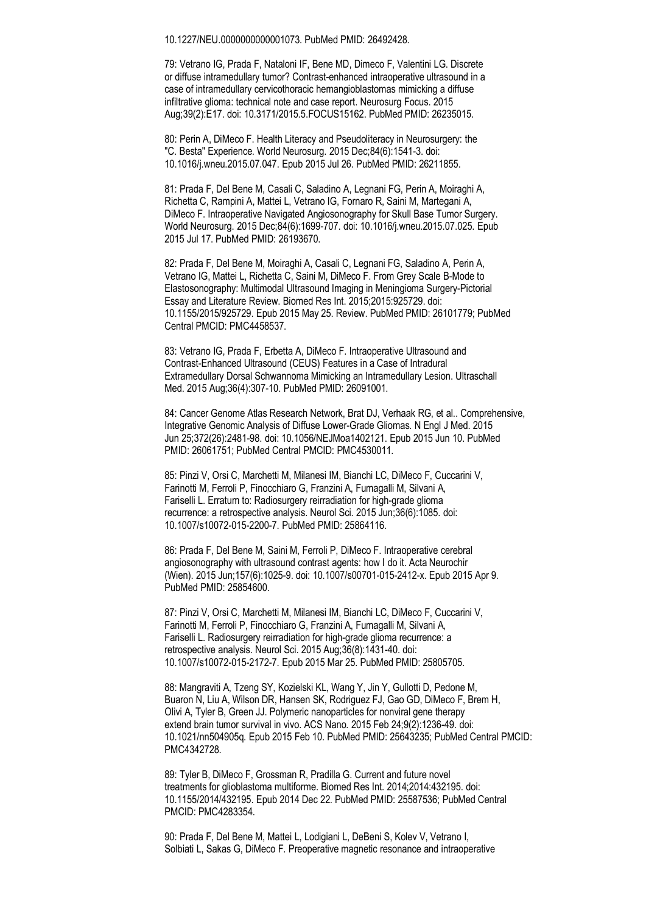10.1227/NEU.0000000000001073. PubMed PMID: 26492428.

79: Vetrano IG, Prada F, Nataloni IF, Bene MD, Dimeco F, Valentini LG. Discrete or diffuse intramedullary tumor? Contrast-enhanced intraoperative ultrasound in a case of intramedullary cervicothoracic hemangioblastomas mimicking a diffuse infiltrative glioma: technical note and case report. Neurosurg Focus. 2015 Aug;39(2):E17. doi: 10.3171/2015.5.FOCUS15162. PubMed PMID: 26235015.

80: Perin A, DiMeco F. Health Literacy and Pseudoliteracy in Neurosurgery: the "C. Besta" Experience. World Neurosurg. 2015 Dec;84(6):1541-3. doi: 10.1016/j.wneu.2015.07.047. Epub 2015 Jul 26. PubMed PMID: 26211855.

81: Prada F, Del Bene M, Casali C, Saladino A, Legnani FG, Perin A, Moiraghi A, Richetta C, Rampini A, Mattei L, Vetrano IG, Fornaro R, Saini M, Martegani A, DiMeco F. Intraoperative Navigated Angiosonography for Skull Base Tumor Surgery. World Neurosurg. 2015 Dec;84(6):1699-707. doi: 10.1016/j.wneu.2015.07.025. Epub 2015 Jul 17. PubMed PMID: 26193670.

82: Prada F, Del Bene M, Moiraghi A, Casali C, Legnani FG, Saladino A, Perin A, Vetrano IG, Mattei L, Richetta C, Saini M, DiMeco F. From Grey Scale B-Mode to Elastosonography: Multimodal Ultrasound Imaging in Meningioma Surgery-Pictorial Essay and Literature Review. Biomed Res Int. 2015;2015:925729. doi: 10.1155/2015/925729. Epub 2015 May 25. Review. PubMed PMID: 26101779; PubMed Central PMCID: PMC4458537.

83: Vetrano IG, Prada F, Erbetta A, DiMeco F. Intraoperative Ultrasound and Contrast-Enhanced Ultrasound (CEUS) Features in a Case of Intradural Extramedullary Dorsal Schwannoma Mimicking an Intramedullary Lesion. Ultraschall Med. 2015 Aug;36(4):307-10. PubMed PMID: 26091001.

84: Cancer Genome Atlas Research Network, Brat DJ, Verhaak RG, et al.. Comprehensive, Integrative Genomic Analysis of Diffuse Lower-Grade Gliomas. N Engl J Med. 2015 Jun 25;372(26):2481-98. doi: 10.1056/NEJMoa1402121. Epub 2015 Jun 10. PubMed PMID: 26061751; PubMed Central PMCID: PMC4530011.

85: Pinzi V, Orsi C, Marchetti M, Milanesi IM, Bianchi LC, DiMeco F, Cuccarini V, Farinotti M, Ferroli P, Finocchiaro G, Franzini A, Fumagalli M, Silvani A, Fariselli L. Erratum to: Radiosurgery reirradiation for high-grade glioma recurrence: a retrospective analysis. Neurol Sci. 2015 Jun;36(6):1085. doi: 10.1007/s10072-015-2200-7. PubMed PMID: 25864116.

86: Prada F, Del Bene M, Saini M, Ferroli P, DiMeco F. Intraoperative cerebral angiosonography with ultrasound contrast agents: how I do it. Acta Neurochir (Wien). 2015 Jun;157(6):1025-9. doi: 10.1007/s00701-015-2412-x. Epub 2015 Apr 9. PubMed PMID: 25854600.

87: Pinzi V, Orsi C, Marchetti M, Milanesi IM, Bianchi LC, DiMeco F, Cuccarini V, Farinotti M, Ferroli P, Finocchiaro G, Franzini A, Fumagalli M, Silvani A, Fariselli L. Radiosurgery reirradiation for high-grade glioma recurrence: a retrospective analysis. Neurol Sci. 2015 Aug;36(8):1431-40. doi: 10.1007/s10072-015-2172-7. Epub 2015 Mar 25. PubMed PMID: 25805705.

88: Mangraviti A, Tzeng SY, Kozielski KL, Wang Y, Jin Y, Gullotti D, Pedone M, Buaron N, Liu A, Wilson DR, Hansen SK, Rodriguez FJ, Gao GD, DiMeco F, Brem H, Olivi A, Tyler B, Green JJ. Polymeric nanoparticles for nonviral gene therapy extend brain tumor survival in vivo. ACS Nano. 2015 Feb 24;9(2):1236-49. doi: 10.1021/nn504905q. Epub 2015 Feb 10. PubMed PMID: 25643235; PubMed Central PMCID: PMC4342728.

89: Tyler B, DiMeco F, Grossman R, Pradilla G. Current and future novel treatments for glioblastoma multiforme. Biomed Res Int. 2014;2014:432195. doi: 10.1155/2014/432195. Epub 2014 Dec 22. PubMed PMID: 25587536; PubMed Central PMCID: PMC4283354.

90: Prada F, Del Bene M, Mattei L, Lodigiani L, DeBeni S, Kolev V, Vetrano I, Solbiati L, Sakas G, DiMeco F. Preoperative magnetic resonance and intraoperative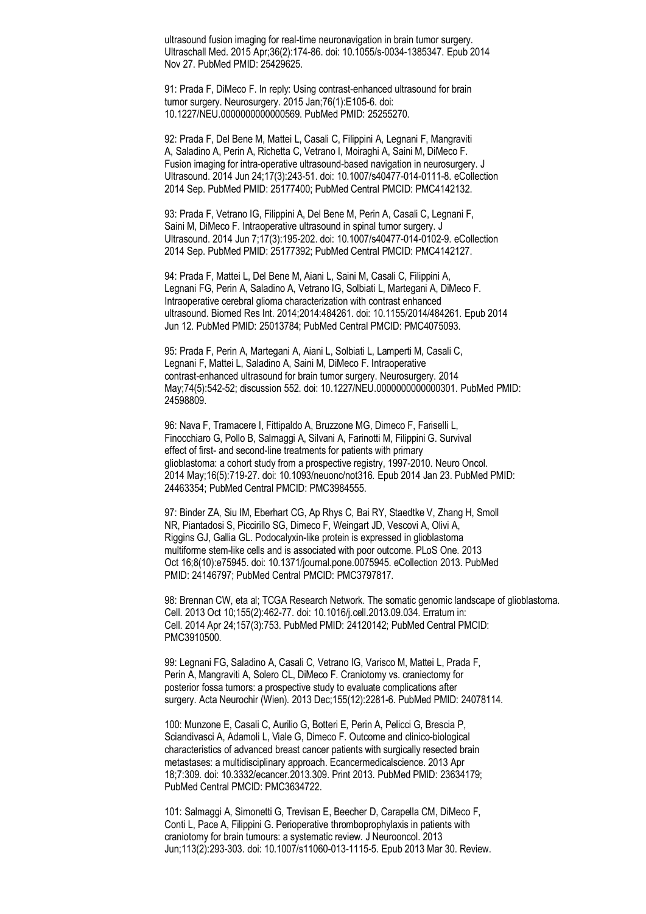ultrasound fusion imaging for real-time neuronavigation in brain tumor surgery. Ultraschall Med. 2015 Apr;36(2):174-86. doi: 10.1055/s-0034-1385347. Epub 2014 Nov 27. PubMed PMID: 25429625.

91: Prada F, DiMeco F. In reply: Using contrast-enhanced ultrasound for brain tumor surgery. Neurosurgery. 2015 Jan;76(1):E105-6. doi: 10.1227/NEU.0000000000000569. PubMed PMID: 25255270.

92: Prada F, Del Bene M, Mattei L, Casali C, Filippini A, Legnani F, Mangraviti A, Saladino A, Perin A, Richetta C, Vetrano I, Moiraghi A, Saini M, DiMeco F. Fusion imaging for intra-operative ultrasound-based navigation in neurosurgery. J Ultrasound. 2014 Jun 24;17(3):243-51. doi: 10.1007/s40477-014-0111-8. eCollection 2014 Sep. PubMed PMID: 25177400; PubMed Central PMCID: PMC4142132.

93: Prada F, Vetrano IG, Filippini A, Del Bene M, Perin A, Casali C, Legnani F, Saini M, DiMeco F. Intraoperative ultrasound in spinal tumor surgery. J Ultrasound. 2014 Jun 7;17(3):195-202. doi: 10.1007/s40477-014-0102-9. eCollection 2014 Sep. PubMed PMID: 25177392; PubMed Central PMCID: PMC4142127.

94: Prada F, Mattei L, Del Bene M, Aiani L, Saini M, Casali C, Filippini A, Legnani FG, Perin A, Saladino A, Vetrano IG, Solbiati L, Martegani A, DiMeco F. Intraoperative cerebral glioma characterization with contrast enhanced ultrasound. Biomed Res Int. 2014;2014:484261. doi: 10.1155/2014/484261. Epub 2014 Jun 12. PubMed PMID: 25013784; PubMed Central PMCID: PMC4075093.

95: Prada F, Perin A, Martegani A, Aiani L, Solbiati L, Lamperti M, Casali C, Legnani F, Mattei L, Saladino A, Saini M, DiMeco F. Intraoperative contrast-enhanced ultrasound for brain tumor surgery. Neurosurgery. 2014 May;74(5):542-52; discussion 552. doi: 10.1227/NEU.0000000000000301. PubMed PMID: 24598809.

96: Nava F, Tramacere I, Fittipaldo A, Bruzzone MG, Dimeco F, Fariselli L, Finocchiaro G, Pollo B, Salmaggi A, Silvani A, Farinotti M, Filippini G. Survival effect of first- and second-line treatments for patients with primary glioblastoma: a cohort study from a prospective registry, 1997-2010. Neuro Oncol. 2014 May;16(5):719-27. doi: 10.1093/neuonc/not316. Epub 2014 Jan 23. PubMed PMID: 24463354; PubMed Central PMCID: PMC3984555.

97: Binder ZA, Siu IM, Eberhart CG, Ap Rhys C, Bai RY, Staedtke V, Zhang H, Smoll NR, Piantadosi S, Piccirillo SG, Dimeco F, Weingart JD, Vescovi A, Olivi A, Riggins GJ, Gallia GL. Podocalyxin-like protein is expressed in glioblastoma multiforme stem-like cells and is associated with poor outcome. PLoS One. 2013 Oct 16;8(10):e75945. doi: 10.1371/journal.pone.0075945. eCollection 2013. PubMed PMID: 24146797; PubMed Central PMCID: PMC3797817.

98: Brennan CW, eta al; TCGA Research Network. The somatic genomic landscape of glioblastoma. Cell. 2013 Oct 10;155(2):462-77. doi: 10.1016/j.cell.2013.09.034. Erratum in: Cell. 2014 Apr 24;157(3):753. PubMed PMID: 24120142; PubMed Central PMCID: PMC3910500.

99: Legnani FG, Saladino A, Casali C, Vetrano IG, Varisco M, Mattei L, Prada F, Perin A, Mangraviti A, Solero CL, DiMeco F. Craniotomy vs. craniectomy for posterior fossa tumors: a prospective study to evaluate complications after surgery. Acta Neurochir (Wien). 2013 Dec;155(12):2281-6. PubMed PMID: 24078114.

100: Munzone E, Casali C, Aurilio G, Botteri E, Perin A, Pelicci G, Brescia P, Sciandivasci A, Adamoli L, Viale G, Dimeco F. Outcome and clinico-biological characteristics of advanced breast cancer patients with surgically resected brain metastases: a multidisciplinary approach. Ecancermedicalscience. 2013 Apr 18;7:309. doi: 10.3332/ecancer.2013.309. Print 2013. PubMed PMID: 23634179; PubMed Central PMCID: PMC3634722.

101: Salmaggi A, Simonetti G, Trevisan E, Beecher D, Carapella CM, DiMeco F, Conti L, Pace A, Filippini G. Perioperative thromboprophylaxis in patients with craniotomy for brain tumours: a systematic review. J Neurooncol. 2013 Jun;113(2):293-303. doi: 10.1007/s11060-013-1115-5. Epub 2013 Mar 30. Review.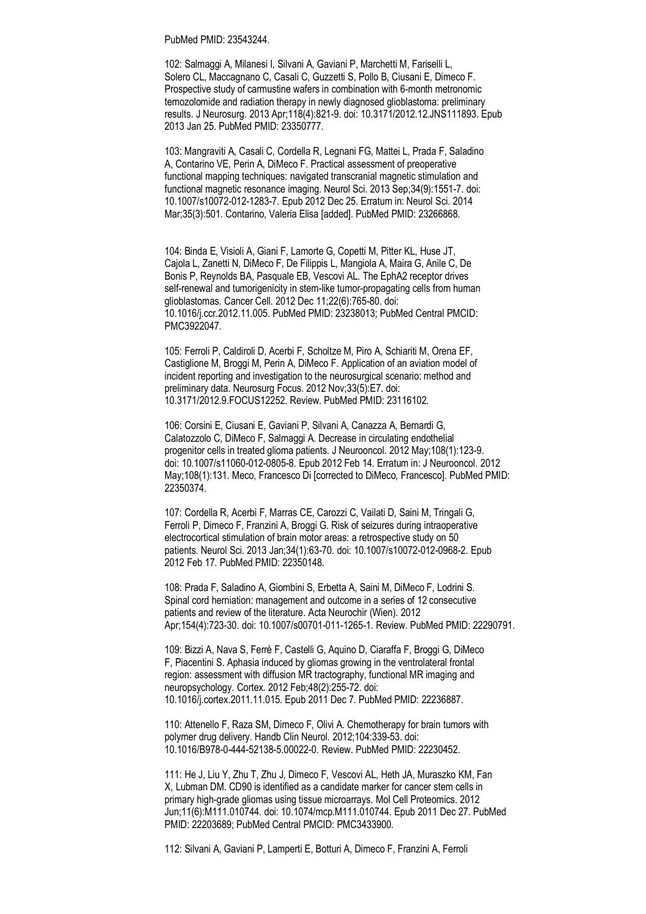#### PubMed PMID: 23543244.

102: Salmaggi A, Milanesi I, Silvani A, Gaviani P, Marchetti M, Fariselli L, Solero CL, Maccagnano C, Casali C, Guzzetti S, Pollo B, Ciusani E, Dimeco F. Prospective study of carmustine wafers in combination with 6-month metronomic temozolomide and radiation therapy in newly diagnosed glioblastoma: preliminary results. J Neurosurg. 2013 Apr;118(4):821-9. doi: 10.3171/2012.12.JNS111893. Epub 2013 Jan 25. PubMed PMID: 23350777.

103: Mangraviti A, Casali C, Cordella R, Legnani FG, Mattei L, Prada F, Saladino A, Contarino VE, Perin A, DiMeco F. Practical assessment of preoperative functional mapping techniques: navigated transcranial magnetic stimulation and functional magnetic resonance imaging. Neurol Sci. 2013 Sep;34(9):1551-7. doi: 10.1007/s10072-012-1283-7. Epub 2012 Dec 25. Erratum in: Neurol Sci. 2014 Mar;35(3):501. Contarino, Valeria Elisa [added]. PubMed PMID: 23266868.

104: Binda E, Visioli A, Giani F, Lamorte G, Copetti M, Pitter KL, Huse JT, Cajola L, Zanetti N, DiMeco F, De Filippis L, Mangiola A, Maira G, Anile C, De Bonis P, Reynolds BA, Pasquale EB, Vescovi AL. The EphA2 receptor drives self-renewal and tumorigenicity in stem-like tumor-propagating cells from human glioblastomas. Cancer Cell. 2012 Dec 11;22(6):765-80. doi: 10.1016/j.ccr.2012.11.005. PubMed PMID: 23238013; PubMed Central PMCID: PMC3922047.

105: Ferroli P, Caldiroli D, Acerbi F, Scholtze M, Piro A, Schiariti M, Orena EF, Castiglione M, Broggi M, Perin A, DiMeco F. Application of an aviation model of incident reporting and investigation to the neurosurgical scenario: method and preliminary data. Neurosurg Focus. 2012 Nov;33(5):E7. doi: 10.3171/2012.9.FOCUS12252. Review. PubMed PMID: 23116102.

106: Corsini E, Ciusani E, Gaviani P, Silvani A, Canazza A, Bernardi G, Calatozzolo C, DiMeco F, Salmaggi A. Decrease in circulating endothelial progenitor cells in treated glioma patients. J Neurooncol. 2012 May;108(1):123-9. doi: 10.1007/s11060-012-0805-8. Epub 2012 Feb 14. Erratum in: J Neurooncol. 2012 May;108(1):131. Meco, Francesco Di [corrected to DiMeco, Francesco]. PubMed PMID: 22350374.

107: Cordella R, Acerbi F, Marras CE, Carozzi C, Vailati D, Saini M, Tringali G, Ferroli P, Dimeco F, Franzini A, Broggi G. Risk of seizures during intraoperative electrocortical stimulation of brain motor areas: a retrospective study on 50 patients. Neurol Sci. 2013 Jan;34(1):63-70. doi: 10.1007/s10072-012-0968-2. Epub 2012 Feb 17. PubMed PMID: 22350148.

108: Prada F, Saladino A, Giombini S, Erbetta A, Saini M, DiMeco F, Lodrini S. Spinal cord herniation: management and outcome in a series of 12 consecutive patients and review of the literature. Acta Neurochir (Wien). 2012 Apr;154(4):723-30. doi: 10.1007/s00701-011-1265-1. Review. PubMed PMID: 22290791.

109: Bizzi A, Nava S, Ferrè F, Castelli G, Aquino D, Ciaraffa F, Broggi G, DiMeco F, Piacentini S. Aphasia induced by gliomas growing in the ventrolateral frontal region: assessment with diffusion MR tractography, functional MR imaging and neuropsychology. Cortex. 2012 Feb;48(2):255-72. doi: 10.1016/j.cortex.2011.11.015. Epub 2011 Dec 7. PubMed PMID: 22236887.

110: Attenello F, Raza SM, Dimeco F, Olivi A. Chemotherapy for brain tumors with polymer drug delivery. Handb Clin Neurol. 2012;104:339-53. doi: 10.1016/B978-0-444-52138-5.00022-0. Review. PubMed PMID: 22230452.

111: He J, Liu Y, Zhu T, Zhu J, Dimeco F, Vescovi AL, Heth JA, Muraszko KM, Fan X, Lubman DM. CD90 is identified as a candidate marker for cancer stem cells in primary high-grade gliomas using tissue microarrays. Mol Cell Proteomics. 2012 Jun;11(6):M111.010744. doi: 10.1074/mcp.M111.010744. Epub 2011 Dec 27. PubMed PMID: 22203689; PubMed Central PMCID: PMC3433900.

112: Silvani A, Gaviani P, Lamperti E, Botturi A, Dimeco F, Franzini A, Ferroli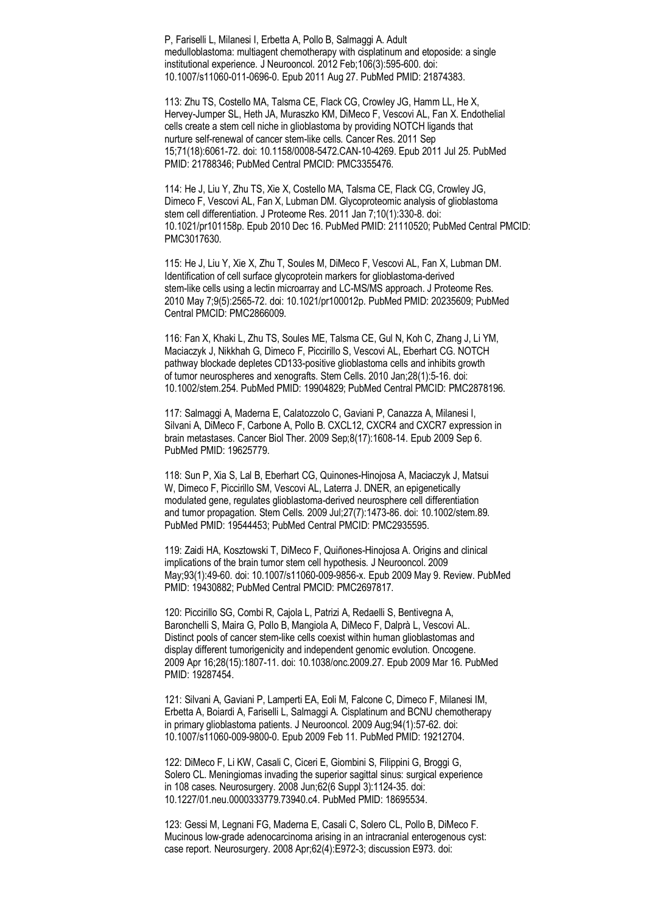P, Fariselli L, Milanesi I, Erbetta A, Pollo B, Salmaggi A. Adult medulloblastoma: multiagent chemotherapy with cisplatinum and etoposide: a single institutional experience. J Neurooncol. 2012 Feb;106(3):595-600. doi: 10.1007/s11060-011-0696-0. Epub 2011 Aug 27. PubMed PMID: 21874383.

113: Zhu TS, Costello MA, Talsma CE, Flack CG, Crowley JG, Hamm LL, He X, Hervey-Jumper SL, Heth JA, Muraszko KM, DiMeco F, Vescovi AL, Fan X. Endothelial cells create a stem cell niche in glioblastoma by providing NOTCH ligands that nurture self-renewal of cancer stem-like cells. Cancer Res. 2011 Sep 15;71(18):6061-72. doi: 10.1158/0008-5472.CAN-10-4269. Epub 2011 Jul 25. PubMed PMID: 21788346; PubMed Central PMCID: PMC3355476.

114: He J, Liu Y, Zhu TS, Xie X, Costello MA, Talsma CE, Flack CG, Crowley JG, Dimeco F, Vescovi AL, Fan X, Lubman DM. Glycoproteomic analysis of glioblastoma stem cell differentiation. J Proteome Res. 2011 Jan 7;10(1):330-8. doi: 10.1021/pr101158p. Epub 2010 Dec 16. PubMed PMID: 21110520; PubMed Central PMCID: PMC3017630.

115: He J, Liu Y, Xie X, Zhu T, Soules M, DiMeco F, Vescovi AL, Fan X, Lubman DM. Identification of cell surface glycoprotein markers for glioblastoma-derived stem-like cells using a lectin microarray and LC-MS/MS approach. J Proteome Res. 2010 May 7;9(5):2565-72. doi: 10.1021/pr100012p. PubMed PMID: 20235609; PubMed Central PMCID: PMC2866009.

116: Fan X, Khaki L, Zhu TS, Soules ME, Talsma CE, Gul N, Koh C, Zhang J, Li YM, Maciaczyk J, Nikkhah G, Dimeco F, Piccirillo S, Vescovi AL, Eberhart CG. NOTCH pathway blockade depletes CD133-positive glioblastoma cells and inhibits growth of tumor neurospheres and xenografts. Stem Cells. 2010 Jan;28(1):5-16. doi: 10.1002/stem.254. PubMed PMID: 19904829; PubMed Central PMCID: PMC2878196.

117: Salmaggi A, Maderna E, Calatozzolo C, Gaviani P, Canazza A, Milanesi I, Silvani A, DiMeco F, Carbone A, Pollo B. CXCL12, CXCR4 and CXCR7 expression in brain metastases. Cancer Biol Ther. 2009 Sep;8(17):1608-14. Epub 2009 Sep 6. PubMed PMID: 19625779.

118: Sun P, Xia S, Lal B, Eberhart CG, Quinones-Hinojosa A, Maciaczyk J, Matsui W, Dimeco F, Piccirillo SM, Vescovi AL, Laterra J. DNER, an epigenetically modulated gene, regulates glioblastoma-derived neurosphere cell differentiation and tumor propagation. Stem Cells. 2009 Jul;27(7):1473-86. doi: 10.1002/stem.89. PubMed PMID: 19544453; PubMed Central PMCID: PMC2935595.

119: Zaidi HA, Kosztowski T, DiMeco F, Quiñones-Hinojosa A. Origins and clinical implications of the brain tumor stem cell hypothesis. J Neurooncol. 2009 May;93(1):49-60. doi: 10.1007/s11060-009-9856-x. Epub 2009 May 9. Review. PubMed PMID: 19430882; PubMed Central PMCID: PMC2697817.

120: Piccirillo SG, Combi R, Cajola L, Patrizi A, Redaelli S, Bentivegna A, Baronchelli S, Maira G, Pollo B, Mangiola A, DiMeco F, Dalprà L, Vescovi AL. Distinct pools of cancer stem-like cells coexist within human glioblastomas and display different tumorigenicity and independent genomic evolution. Oncogene. 2009 Apr 16;28(15):1807-11. doi: 10.1038/onc.2009.27. Epub 2009 Mar 16. PubMed PMID: 19287454.

121: Silvani A, Gaviani P, Lamperti EA, Eoli M, Falcone C, Dimeco F, Milanesi IM, Erbetta A, Boiardi A, Fariselli L, Salmaggi A. Cisplatinum and BCNU chemotherapy in primary glioblastoma patients. J Neurooncol. 2009 Aug;94(1):57-62. doi: 10.1007/s11060-009-9800-0. Epub 2009 Feb 11. PubMed PMID: 19212704.

122: DiMeco F, Li KW, Casali C, Ciceri E, Giombini S, Filippini G, Broggi G, Solero CL. Meningiomas invading the superior sagittal sinus: surgical experience in 108 cases. Neurosurgery. 2008 Jun;62(6 Suppl 3):1124-35. doi: 10.1227/01.neu.0000333779.73940.c4. PubMed PMID: 18695534.

123: Gessi M, Legnani FG, Maderna E, Casali C, Solero CL, Pollo B, DiMeco F. Mucinous low-grade adenocarcinoma arising in an intracranial enterogenous cyst: case report. Neurosurgery. 2008 Apr;62(4):E972-3; discussion E973. doi: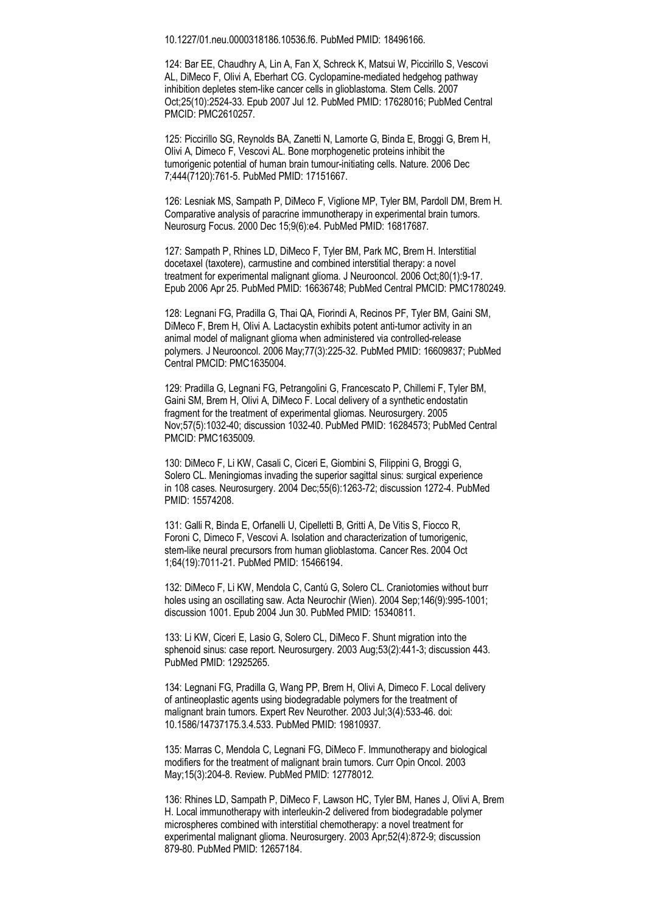10.1227/01.neu.0000318186.10536.f6. PubMed PMID: 18496166.

124: Bar EE, Chaudhry A, Lin A, Fan X, Schreck K, Matsui W, Piccirillo S, Vescovi AL, DiMeco F, Olivi A, Eberhart CG. Cyclopamine-mediated hedgehog pathway inhibition depletes stem-like cancer cells in glioblastoma. Stem Cells. 2007 Oct;25(10):2524-33. Epub 2007 Jul 12. PubMed PMID: 17628016; PubMed Central PMCID: PMC2610257.

125: Piccirillo SG, Reynolds BA, Zanetti N, Lamorte G, Binda E, Broggi G, Brem H, Olivi A, Dimeco F, Vescovi AL. Bone morphogenetic proteins inhibit the tumorigenic potential of human brain tumour-initiating cells. Nature. 2006 Dec 7;444(7120):761-5. PubMed PMID: 17151667.

126: Lesniak MS, Sampath P, DiMeco F, Viglione MP, Tyler BM, Pardoll DM, Brem H. Comparative analysis of paracrine immunotherapy in experimental brain tumors. Neurosurg Focus. 2000 Dec 15;9(6):e4. PubMed PMID: 16817687.

127: Sampath P, Rhines LD, DiMeco F, Tyler BM, Park MC, Brem H. Interstitial docetaxel (taxotere), carmustine and combined interstitial therapy: a novel treatment for experimental malignant glioma. J Neurooncol. 2006 Oct;80(1):9-17. Epub 2006 Apr 25. PubMed PMID: 16636748; PubMed Central PMCID: PMC1780249.

128: Legnani FG, Pradilla G, Thai QA, Fiorindi A, Recinos PF, Tyler BM, Gaini SM, DiMeco F, Brem H, Olivi A. Lactacystin exhibits potent anti-tumor activity in an animal model of malignant glioma when administered via controlled-release polymers. J Neurooncol. 2006 May;77(3):225-32. PubMed PMID: 16609837; PubMed Central PMCID: PMC1635004.

129: Pradilla G, Legnani FG, Petrangolini G, Francescato P, Chillemi F, Tyler BM, Gaini SM, Brem H, Olivi A, DiMeco F. Local delivery of a synthetic endostatin fragment for the treatment of experimental gliomas. Neurosurgery. 2005 Nov;57(5):1032-40; discussion 1032-40. PubMed PMID: 16284573; PubMed Central PMCID: PMC1635009.

130: DiMeco F, Li KW, Casali C, Ciceri E, Giombini S, Filippini G, Broggi G, Solero CL. Meningiomas invading the superior sagittal sinus: surgical experience in 108 cases. Neurosurgery. 2004 Dec;55(6):1263-72; discussion 1272-4. PubMed PMID: 15574208.

131: Galli R, Binda E, Orfanelli U, Cipelletti B, Gritti A, De Vitis S, Fiocco R, Foroni C, Dimeco F, Vescovi A. Isolation and characterization of tumorigenic, stem-like neural precursors from human glioblastoma. Cancer Res. 2004 Oct 1;64(19):7011-21. PubMed PMID: 15466194.

132: DiMeco F, Li KW, Mendola C, Cantú G, Solero CL. Craniotomies without burr holes using an oscillating saw. Acta Neurochir (Wien). 2004 Sep;146(9):995-1001; discussion 1001. Epub 2004 Jun 30. PubMed PMID: 15340811.

133: Li KW, Ciceri E, Lasio G, Solero CL, DiMeco F. Shunt migration into the sphenoid sinus: case report. Neurosurgery. 2003 Aug;53(2):441-3; discussion 443. PubMed PMID: 12925265.

134: Legnani FG, Pradilla G, Wang PP, Brem H, Olivi A, Dimeco F. Local delivery of antineoplastic agents using biodegradable polymers for the treatment of malignant brain tumors. Expert Rev Neurother. 2003 Jul;3(4):533-46. doi: 10.1586/14737175.3.4.533. PubMed PMID: 19810937.

135: Marras C, Mendola C, Legnani FG, DiMeco F. Immunotherapy and biological modifiers for the treatment of malignant brain tumors. Curr Opin Oncol. 2003 May;15(3):204-8. Review. PubMed PMID: 12778012.

136: Rhines LD, Sampath P, DiMeco F, Lawson HC, Tyler BM, Hanes J, Olivi A, Brem H. Local immunotherapy with interleukin-2 delivered from biodegradable polymer microspheres combined with interstitial chemotherapy: a novel treatment for experimental malignant glioma. Neurosurgery. 2003 Apr;52(4):872-9; discussion 879-80. PubMed PMID: 12657184.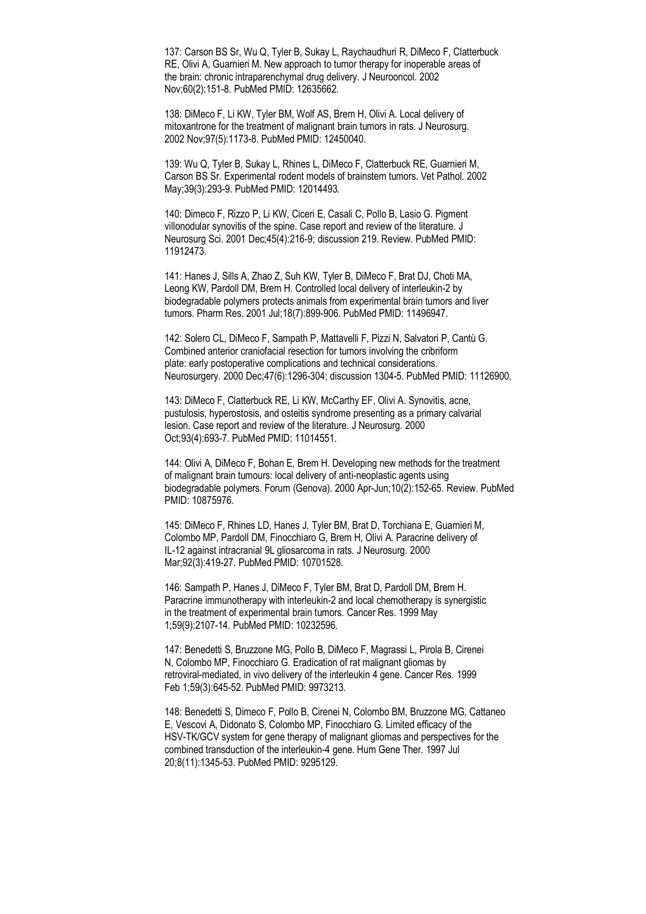137: Carson BS Sr, Wu Q, Tyler B, Sukay L, Raychaudhuri R, DiMeco F, Clatterbuck RE, Olivi A, Guarnieri M. New approach to tumor therapy for inoperable areas of the brain: chronic intraparenchymal drug delivery. J Neurooncol. 2002 Nov;60(2):151-8. PubMed PMID: 12635662.

138: DiMeco F, Li KW, Tyler BM, Wolf AS, Brem H, Olivi A. Local delivery of mitoxantrone for the treatment of malignant brain tumors in rats. J Neurosurg. 2002 Nov;97(5):1173-8. PubMed PMID: 12450040.

139: Wu Q, Tyler B, Sukay L, Rhines L, DiMeco F, Clatterbuck RE, Guarnieri M, Carson BS Sr. Experimental rodent models of brainstem tumors. Vet Pathol. 2002 May;39(3):293-9. PubMed PMID: 12014493.

140: Dimeco F, Rizzo P, Li KW, Ciceri E, Casali C, Pollo B, Lasio G. Pigment villonodular synovitis of the spine. Case report and review of the literature. J Neurosurg Sci. 2001 Dec;45(4):216-9; discussion 219. Review. PubMed PMID: 11912473.

141: Hanes J, Sills A, Zhao Z, Suh KW, Tyler B, DiMeco F, Brat DJ, Choti MA, Leong KW, Pardoll DM, Brem H. Controlled local delivery of interleukin-2 by biodegradable polymers protects animals from experimental brain tumors and liver tumors. Pharm Res. 2001 Jul;18(7):899-906. PubMed PMID: 11496947.

142: Solero CL, DiMeco F, Sampath P, Mattavelli F, Pizzi N, Salvatori P, Cantù G. Combined anterior craniofacial resection for tumors involving the cribriform plate: early postoperative complications and technical considerations. Neurosurgery. 2000 Dec;47(6):1296-304; discussion 1304-5. PubMed PMID: 11126900.

143: DiMeco F, Clatterbuck RE, Li KW, McCarthy EF, Olivi A. Synovitis, acne, pustulosis, hyperostosis, and osteitis syndrome presenting as a primary calvarial lesion. Case report and review of the literature. J Neurosurg. 2000 Oct;93(4):693-7. PubMed PMID: 11014551.

144: Olivi A, DiMeco F, Bohan E, Brem H. Developing new methods for the treatment of malignant brain tumours: local delivery of anti-neoplastic agents using biodegradable polymers. Forum (Genova). 2000 Apr-Jun;10(2):152-65. Review. PubMed PMID: 10875976.

145: DiMeco F, Rhines LD, Hanes J, Tyler BM, Brat D, Torchiana E, Guarnieri M, Colombo MP, Pardoll DM, Finocchiaro G, Brem H, Olivi A. Paracrine delivery of IL-12 against intracranial 9L gliosarcoma in rats. J Neurosurg. 2000 Mar;92(3):419-27. PubMed PMID: 10701528.

146: Sampath P, Hanes J, DiMeco F, Tyler BM, Brat D, Pardoll DM, Brem H. Paracrine immunotherapy with interleukin-2 and local chemotherapy is synergistic in the treatment of experimental brain tumors. Cancer Res. 1999 May 1;59(9):2107-14. PubMed PMID: 10232596.

147: Benedetti S, Bruzzone MG, Pollo B, DiMeco F, Magrassi L, Pirola B, Cirenei N, Colombo MP, Finocchiaro G. Eradication of rat malignant gliomas by retroviral-mediated, in vivo delivery of the interleukin 4 gene. Cancer Res. 1999 Feb 1;59(3):645-52. PubMed PMID: 9973213.

148: Benedetti S, Dimeco F, Pollo B, Cirenei N, Colombo BM, Bruzzone MG, Cattaneo E, Vescovi A, Didonato S, Colombo MP, Finocchiaro G. Limited efficacy of the HSV-TK/GCV system for gene therapy of malignant gliomas and perspectives for the combined transduction of the interleukin-4 gene. Hum Gene Ther. 1997 Jul 20;8(11):1345-53. PubMed PMID: 9295129.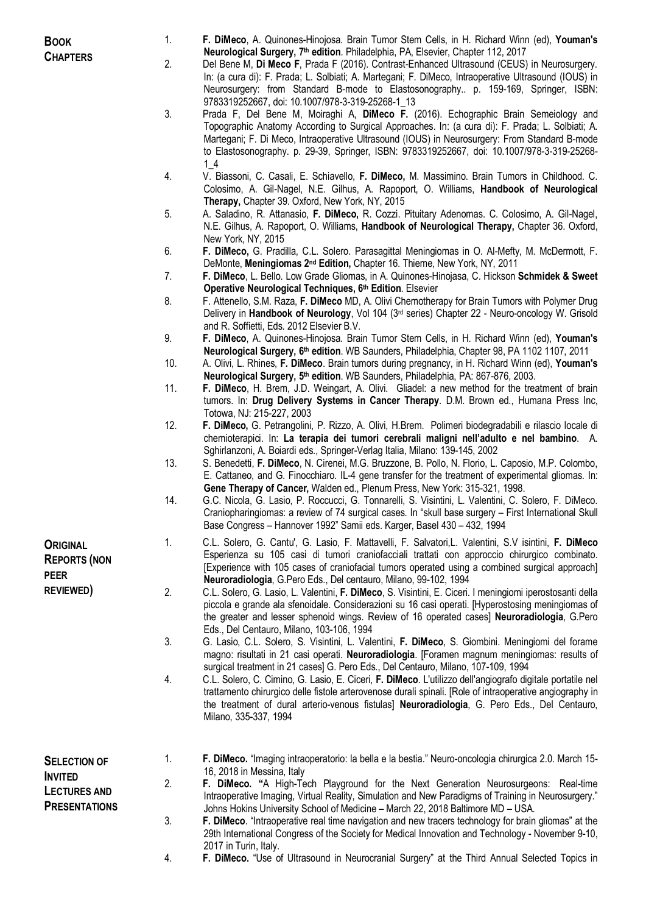**BOOK CHAPTERS**

- 1. **F. DiMeco**, A. Quinones-Hinojosa. Brain Tumor Stem Cells, in H. Richard Winn (ed), **Youman's Neurological Surgery, 7 th edition**. Philadelphia, PA, Elsevier, Chapter 112, 2017
- 2. Del Bene M, **Di Meco F**, Prada F (2016). Contrast-Enhanced Ultrasound (CEUS) in Neurosurgery. In: (a cura di): F. Prada; L. Solbiati; A. Martegani; F. DiMeco, Intraoperative Ultrasound (IOUS) in Neurosurgery: from Standard B-mode to Elastosonography.. p. 159-169, Springer, ISBN: 9783319252667, doi: 10.1007/978-3-319-25268-1\_13
- 3. Prada F, Del Bene M, Moiraghi A, **DiMeco F.** (2016). Echographic Brain Semeiology and Topographic Anatomy According to Surgical Approaches. In: (a cura di): F. Prada; L. Solbiati; A. Martegani; F. Di Meco, Intraoperative Ultrasound (IOUS) in Neurosurgery: From Standard B-mode to Elastosonography. p. 29-39, Springer, ISBN: 9783319252667, doi: 10.1007/978-3-319-25268- 1\_4
- 4. V. Biassoni, C. Casali, E. Schiavello, **F. DiMeco,** M. Massimino. Brain Tumors in Childhood. C. Colosimo, A. Gil-Nagel, N.E. Gilhus, A. Rapoport, O. Williams, **Handbook of Neurological Therapy,** Chapter 39. Oxford, New York, NY, 2015
- 5. A. Saladino, R. Attanasio, **F. DiMeco,** R. Cozzi. Pituitary Adenomas. C. Colosimo, A. Gil-Nagel, N.E. Gilhus, A. Rapoport, O. Williams, **Handbook of Neurological Therapy,** Chapter 36. Oxford, New York, NY, 2015
- 6. **F. DiMeco,** G. Pradilla, C.L. Solero. Parasagittal Meningiomas in O. Al-Mefty, M. McDermott, F. DeMonte, **Meningiomas 2 nd Edition,** Chapter 16. Thieme, New York, NY, 2011
- 7. **F. DiMeco**, L. Bello. Low Grade Gliomas, in A. Quinones-Hinojasa, C. Hickson **Schmidek & Sweet Operative Neurological Techniques, 6 th Edition**. Elsevier
- 8. F. Attenello, S.M. Raza, **F. DiMeco** MD, A. Olivi Chemotherapy for Brain Tumors with Polymer Drug Delivery in **Handbook of Neurology**, Vol 104 (3rd series) Chapter 22 - Neuro-oncology W. Grisold and R. Soffietti, Eds. 2012 Elsevier B.V.
- 9. **F. DiMeco**, A. Quinones-Hinojosa. Brain Tumor Stem Cells, in H. Richard Winn (ed), **Youman's Neurological Surgery, 6 th edition**. WB Saunders, Philadelphia, Chapter 98, PA 1102 1107, 2011
- 10. A. Olivi, L. Rhines, **F. DiMeco**. Brain tumors during pregnancy, in H. Richard Winn (ed), **Youman's Neurological Surgery, 5 th edition**. WB Saunders, Philadelphia, PA: 867-876, 2003.
- 11. **F. DiMeco**, H. Brem, J.D. Weingart, A. Olivi. Gliadel: a new method for the treatment of brain tumors. In: **Drug Delivery Systems in Cancer Therapy**. D.M. Brown ed., Humana Press Inc, Totowa, NJ: 215-227, 2003
- 12. **F. DiMeco,** G. Petrangolini, P. Rizzo, A. Olivi, H.Brem. Polimeri biodegradabili e rilascio locale di chemioterapici. In: **La terapia dei tumori cerebrali maligni nell'adulto e nel bambino**. A. Sghirlanzoni, A. Boiardi eds., Springer-Verlag Italia, Milano: 139-145, 2002
- 13. S. Benedetti, **F. DiMeco**, N. Cirenei, M.G. Bruzzone, B. Pollo, N. Florio, L. Caposio, M.P. Colombo, E. Cattaneo, and G. Finocchiaro. IL-4 gene transfer for the treatment of experimental gliomas. In: **Gene Therapy of Cancer,** Walden ed., Plenum Press, New York: 315-321, 1998.
- 14. G.C. Nicola, G. Lasio, P. Roccucci, G. Tonnarelli, S. Visintini, L. Valentini, C. Solero, F. DiMeco. Craniopharingiomas: a review of 74 surgical cases. In "skull base surgery – First International Skull Base Congress – Hannover 1992" Samii eds. Karger, Basel 430 – 432, 1994
- 1. C.L. Solero, G. Cantu', G. Lasio, F. Mattavelli, F. Salvatori,L. Valentini, S.V isintini, **F. DiMeco** Esperienza su 105 casi di tumori craniofacciali trattati con approccio chirurgico combinato. [Experience with 105 cases of craniofacial tumors operated using a combined surgical approach] **Neuroradiologia**, G.Pero Eds., Del centauro, Milano, 99-102, 1994
- 2. C.L. Solero, G. Lasio, L. Valentini, **F. DiMeco**, S. Visintini, E. Ciceri. I meningiomi iperostosanti della piccola e grande ala sfenoidale. Considerazioni su 16 casi operati. [Hyperostosing meningiomas of the greater and lesser sphenoid wings. Review of 16 operated cases] **Neuroradiologia**, G.Pero Eds., Del Centauro, Milano, 103-106, 1994
- 3. G. Lasio, C.L. Solero, S. Visintini, L. Valentini, **F. DiMeco**, S. Giombini. Meningiomi del forame magno: risultati in 21 casi operati. **Neuroradiologia**. [Foramen magnum meningiomas: results of surgical treatment in 21 cases] G. Pero Eds., Del Centauro, Milano, 107-109, 1994
- 4. C.L. Solero, C. Cimino, G. Lasio, E. Ciceri, **F. DiMeco**. L'utilizzo dell'angiografo digitale portatile nel trattamento chirurgico delle fistole arterovenose durali spinali. [Role of intraoperative angiography in the treatment of dural arterio-venous fistulas] **Neuroradiologia**, G. Pero Eds., Del Centauro, Milano, 335-337, 1994
- **SELECTION OF INVITED LECTURES AND PRESENTATIONS**

**ORIGINAL REPORTS (NON** 

**PEER REVIEWED)**

- 1. **F. DiMeco.** "Imaging intraoperatorio: la bella e la bestia." Neuro-oncologia chirurgica 2.0. March 15- 16, 2018 in Messina, Italy
- 2. **F. DiMeco. "**A High-Tech Playground for the Next Generation Neurosurgeons: Real-time Intraoperative Imaging, Virtual Reality, Simulation and New Paradigms of Training in Neurosurgery." Johns Hokins University School of Medicine – March 22, 2018 Baltimore MD – USA.
- 3. **F. DiMeco**. "Intraoperative real time navigation and new tracers technology for brain gliomas" at the 29th International Congress of the Society for Medical Innovation and Technology - November 9-10, 2017 in Turin, Italy.
- 4. **F. DiMeco.** "Use of Ultrasound in Neurocranial Surgery" at the Third Annual Selected Topics in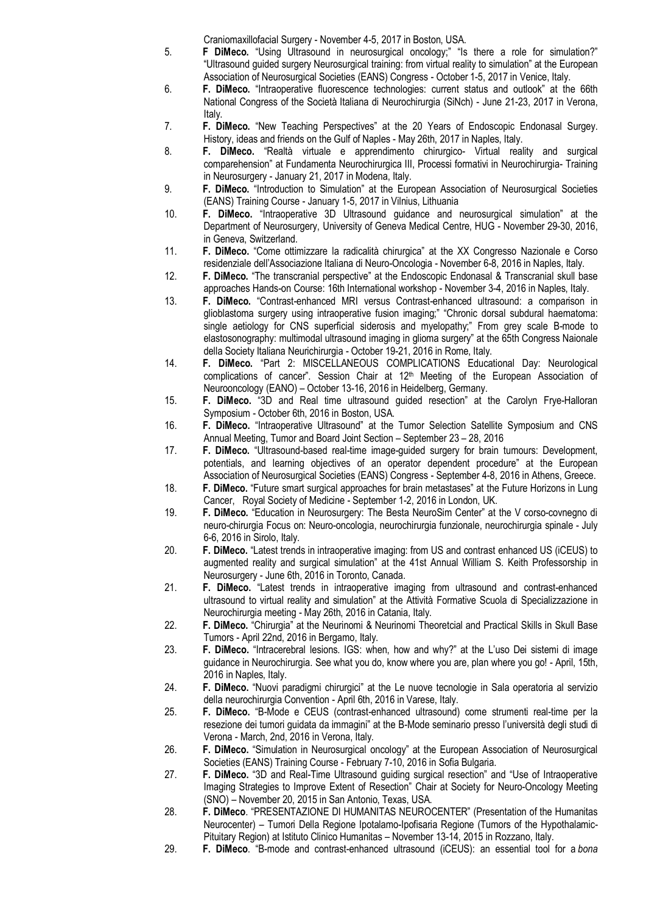Craniomaxillofacial Surgery - November 4-5, 2017 in Boston, USA.

- 5. **F DiMeco.** "Using Ultrasound in neurosurgical oncology;" "Is there a role for simulation?" "Ultrasound guided surgery Neurosurgical training: from virtual reality to simulation" at the European Association of Neurosurgical Societies (EANS) Congress - October 1-5, 2017 in Venice, Italy.
- 6. **F. DiMeco.** "Intraoperative fluorescence technologies: current status and outlook" at the 66th National Congress of the Società Italiana di Neurochirurgia (SiNch) - June 21-23, 2017 in Verona, Italy.
- 7. **F. DiMeco.** "New Teaching Perspectives" at the 20 Years of Endoscopic Endonasal Surgey. History, ideas and friends on the Gulf of Naples - May 26th, 2017 in Naples, Italy.
- 8. **F. DiMeco.** "Realtà virtuale e apprendimento chirurgico- Virtual reality and surgical comparehension" at Fundamenta Neurochirurgica III, Processi formativi in Neurochirurgia- Training in Neurosurgery - January 21, 2017 in Modena, Italy.
- 9. **F. DiMeco.** "Introduction to Simulation" at the European Association of Neurosurgical Societies (EANS) Training Course - January 1-5, 2017 in Vilnius, Lithuania
- 10. **F. DiMeco.** "Intraoperative 3D Ultrasound guidance and neurosurgical simulation" at the Department of Neurosurgery, University of Geneva Medical Centre, HUG - November 29-30, 2016, in Geneva, Switzerland.
- 11. **F. DiMeco.** "Come ottimizzare la radicalità chirurgica" at the XX Congresso Nazionale e Corso residenziale dell'Associazione Italiana di Neuro-Oncologia - November 6-8, 2016 in Naples, Italy.
- 12. **F. DiMeco.** "The transcranial perspective" at the Endoscopic Endonasal & Transcranial skull base approaches Hands-on Course: 16th International workshop - November 3-4, 2016 in Naples, Italy.
- 13. **F. DiMeco.** "Contrast-enhanced MRI versus Contrast-enhanced ultrasound: a comparison in glioblastoma surgery using intraoperative fusion imaging;" "Chronic dorsal subdural haematoma: single aetiology for CNS superficial siderosis and myelopathy;" From grey scale B-mode to elastosonography: multimodal ultrasound imaging in glioma surgery" at the 65th Congress Naionale della Society Italiana Neurichirurgia - October 19-21, 2016 in Rome, Italy.
- 14. **F. DiMeco.** "Part 2: MISCELLANEOUS COMPLICATIONS Educational Day: Neurological complications of cancer". Session Chair at 12<sup>th</sup> Meeting of the European Association of Neurooncology (EANO) – October 13-16, 2016 in Heidelberg, Germany.
- 15. **F. DiMeco.** "3D and Real time ultrasound guided resection" at the Carolyn Frye-Halloran Symposium - October 6th, 2016 in Boston, USA.
- 16. **F. DiMeco.** "Intraoperative Ultrasound" at the Tumor Selection Satellite Symposium and CNS Annual Meeting, Tumor and Board Joint Section – September 23 – 28, 2016
- 17. **F. DiMeco.** "Ultrasound-based real-time image-guided surgery for brain tumours: Development, potentials, and learning objectives of an operator dependent procedure" at the European Association of Neurosurgical Societies (EANS) Congress - September 4-8, 2016 in Athens, Greece.
- 18. **F. DiMeco.** "Future smart surgical approaches for brain metastases" at the Future Horizons in Lung Cancer, Royal Society of Medicine - September 1-2, 2016 in London, UK.
- 19. **F. DiMeco.** "Education in Neurosurgery: The Besta NeuroSim Center" at the V corso-covnegno di neuro-chirurgia Focus on: Neuro-oncologia, neurochirurgia funzionale, neurochirurgia spinale - July 6-6, 2016 in Sirolo, Italy.
- 20. **F. DiMeco.** "Latest trends in intraoperative imaging: from US and contrast enhanced US (iCEUS) to augmented reality and surgical simulation" at the 41st Annual William S. Keith Professorship in Neurosurgery - June 6th, 2016 in Toronto, Canada.
- 21. **F. DiMeco.** "Latest trends in intraoperative imaging from ultrasound and contrast-enhanced ultrasound to virtual reality and simulation" at the Attività Formative Scuola di Specializzazione in Neurochirurgia meeting - May 26th, 2016 in Catania, Italy.
- 22. **F. DiMeco.** "Chirurgia" at the Neurinomi & Neurinomi Theoretcial and Practical Skills in Skull Base Tumors - April 22nd, 2016 in Bergamo, Italy.
- 23. **F. DiMeco.** "Intracerebral lesions. IGS: when, how and why?" at the L'uso Dei sistemi di image guidance in Neurochirurgia. See what you do, know where you are, plan where you go! - April, 15th, 2016 in Naples, Italy.
- 24. **F. DiMeco.** "Nuovi paradigmi chirurgici" at the Le nuove tecnologie in Sala operatoria al servizio della neurochirurgia Convention - April 6th, 2016 in Varese, Italy.
- 25. **F. DiMeco.** "B-Mode e CEUS (contrast-enhanced ultrasound) come strumenti real-time per la resezione dei tumori guidata da immagini" at the B-Mode seminario presso l'università degli studi di Verona - March, 2nd, 2016 in Verona, Italy.
- 26. **F. DiMeco.** "Simulation in Neurosurgical oncology" at the European Association of Neurosurgical Societies (EANS) Training Course - February 7-10, 2016 in Sofia Bulgaria.
- 27. **F. DiMeco.** "3D and Real-Time Ultrasound guiding surgical resection" and "Use of Intraoperative Imaging Strategies to Improve Extent of Resection" Chair at Society for Neuro-Oncology Meeting (SNO) – November 20, 2015 in San Antonio, Texas, USA.
- 28. **F. DiMeco**. "PRESENTAZIONE DI HUMANITAS NEUROCENTER" (Presentation of the Humanitas Neurocenter) – Tumori Della Regione Ipotalamo-Ipofisaria Regione (Tumors of the Hypothalamic-Pituitary Region) at Istituto Clinico Humanitas – November 13-14, 2015 in Rozzano, Italy.
- 29. **F. DiMeco**. "B-mode and contrast-enhanced ultrasound (iCEUS): an essential tool for a *bona*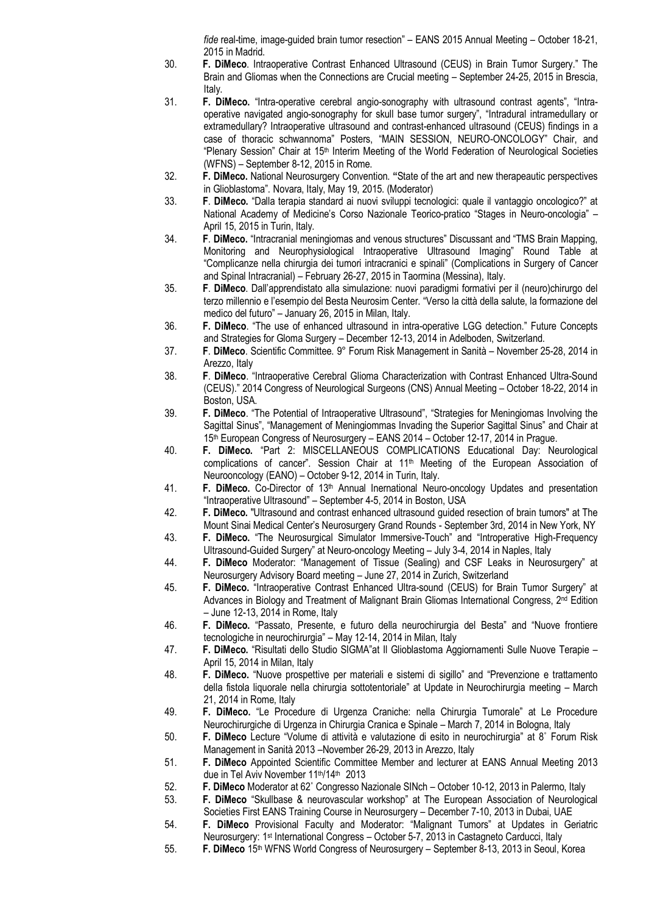*fide* real-time, image-guided brain tumor resection" – EANS 2015 Annual Meeting – October 18-21, 2015 in Madrid.

- 30. **F. DiMeco**. Intraoperative Contrast Enhanced Ultrasound (CEUS) in Brain Tumor Surgery." The Brain and Gliomas when the Connections are Crucial meeting – September 24-25, 2015 in Brescia, Italy.
- 31. **F. DiMeco.** "Intra-operative cerebral angio-sonography with ultrasound contrast agents", "Intraoperative navigated angio-sonography for skull base tumor surgery", "Intradural intramedullary or extramedullary? Intraoperative ultrasound and contrast-enhanced ultrasound (CEUS) findings in a case of thoracic schwannoma" Posters, "MAIN SESSION, NEURO-ONCOLOGY" Chair, and "Plenary Session" Chair at 15<sup>th</sup> Interim Meeting of the World Federation of Neurological Societies (WFNS) – September 8-12, 2015 in Rome.
- 32. **F. DiMeco.** National Neurosurgery Convention. **"**State of the art and new therapeautic perspectives in Glioblastoma". Novara, Italy, May 19, 2015. (Moderator)
- 33. **F**. **DiMeco.** "Dalla terapia standard ai nuovi sviluppi tecnologici: quale il vantaggio oncologico?" at National Academy of Medicine's Corso Nazionale Teorico-pratico "Stages in Neuro-oncologia" – April 15, 2015 in Turin, Italy.
- 34. **F**. **DiMeco.** "Intracranial meningiomas and venous structures" Discussant and "TMS Brain Mapping, Monitoring and Neurophysiological Intraoperative Ultrasound Imaging" Round Table at "Complicanze nella chirurgia dei tumori intracranici e spinali" (Complications in Surgery of Cancer and Spinal Intracranial) – February 26-27, 2015 in Taormina (Messina), Italy.
- 35. **F**. **DiMeco**. Dall'apprendistato alla simulazione: nuovi paradigmi formativi per il (neuro)chirurgo del terzo millennio e l'esempio del Besta Neurosim Center. "Verso la città della salute, la formazione del medico del futuro" – January 26, 2015 in Milan, Italy.
- 36. **F. DiMeco**. "The use of enhanced ultrasound in intra-operative LGG detection." Future Concepts and Strategies for Gloma Surgery – December 12-13, 2014 in Adelboden, Switzerland.
- 37. **F**. **DiMeco**. Scientific Committee. 9° Forum Risk Management in Sanità November 25-28, 2014 in Arezzo, Italy
- 38. **F**. **DiMeco**. "Intraoperative Cerebral Glioma Characterization with Contrast Enhanced Ultra-Sound (CEUS)." 2014 Congress of Neurological Surgeons (CNS) Annual Meeting – October 18-22, 2014 in Boston, USA.
- 39. **F. DiMeco**. "The Potential of Intraoperative Ultrasound", "Strategies for Meningiomas Involving the Sagittal Sinus", "Management of Meningiommas Invading the Superior Sagittal Sinus" and Chair at 15th European Congress of Neurosurgery – EANS 2014 – October 12-17, 2014 in Prague.
- 40. **F. DiMeco.** "Part 2: MISCELLANEOUS COMPLICATIONS Educational Day: Neurological complications of cancer". Session Chair at 11<sup>th</sup> Meeting of the European Association of Neurooncology (EANO) – October 9-12, 2014 in Turin, Italy.
- 41. **F. DiMeco.** Co-Director of 13th Annual Inernational Neuro-oncology Updates and presentation "Intraoperative Ultrasound" – September 4-5, 2014 in Boston, USA
- 42. **F. DiMeco.** "Ultrasound and contrast enhanced ultrasound guided resection of brain tumors" at The Mount Sinai Medical Center's Neurosurgery Grand Rounds - September 3rd, 2014 in New York, NY
- 43. **F. DiMeco.** "The Neurosurgical Simulator Immersive-Touch" and "Introperative High-Frequency Ultrasound-Guided Surgery" at Neuro-oncology Meeting – July 3-4, 2014 in Naples, Italy
- 44. **F. DiMeco** Moderator: "Management of Tissue (Sealing) and CSF Leaks in Neurosurgery" at Neurosurgery Advisory Board meeting – June 27, 2014 in Zurich, Switzerland
- 45. **F. DiMeco.** "Intraoperative Contrast Enhanced Ultra-sound (CEUS) for Brain Tumor Surgery" at Advances in Biology and Treatment of Malignant Brain Gliomas International Congress, 2<sup>nd</sup> Edition – June 12-13, 2014 in Rome, Italy
- 46. **F. DiMeco.** "Passato, Presente, e futuro della neurochirurgia del Besta" and "Nuove frontiere tecnologiche in neurochirurgia" – May 12-14, 2014 in Milan, Italy
- 47. **F. DiMeco.** "Risultati dello Studio SIGMA"at Il Glioblastoma Aggiornamenti Sulle Nuove Terapie April 15, 2014 in Milan, Italy
- 48. **F. DiMeco.** "Nuove prospettive per materiali e sistemi di sigillo" and "Prevenzione e trattamento della fistola liquorale nella chirurgia sottotentoriale" at Update in Neurochirurgia meeting – March 21, 2014 in Rome, Italy
- 49. **F. DiMeco.** "Le Procedure di Urgenza Craniche: nella Chirurgia Tumorale" at Le Procedure Neurochirurgiche di Urgenza in Chirurgia Cranica e Spinale – March 7, 2014 in Bologna, Italy
- 50. **F. DiMeco** Lecture "Volume di attività e valutazione di esito in neurochirurgia" at 8˚ Forum Risk Management in Sanità 2013 –November 26-29, 2013 in Arezzo, Italy
- 51. **F. DiMeco** Appointed Scientific Committee Member and lecturer at EANS Annual Meeting 2013 due in Tel Aviv November 11th/14th 2013
- 52. **F. DiMeco** Moderator at 62˚ Congresso Nazionale SINch October 10-12, 2013 in Palermo, Italy
- 53. **F. DiMeco** "Skullbase & neurovascular workshop" at The European Association of Neurological Societies First EANS Training Course in Neurosurgery – December 7-10, 2013 in Dubai, UAE
- 54. **F. DiMeco** Provisional Faculty and Moderator: "Malignant Tumors" at Updates in Geriatric Neurosurgery: 1 st International Congress – October 5-7, 2013 in Castagneto Carducci, Italy
- 55. **F. DiMeco** 15th WFNS World Congress of Neurosurgery September 8-13, 2013 in Seoul, Korea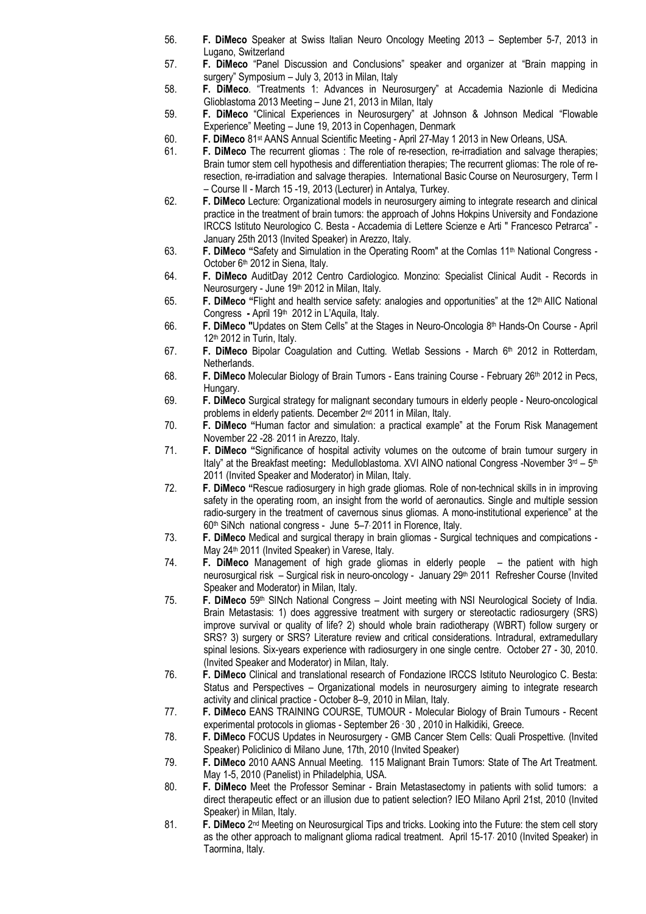- 56. **F. DiMeco** Speaker at Swiss Italian Neuro Oncology Meeting 2013 September 5-7, 2013 in Lugano, Switzerland
- 57. **F. DiMeco** "Panel Discussion and Conclusions" speaker and organizer at "Brain mapping in surgery" Symposium – July 3, 2013 in Milan, Italy
- 58. **F. DiMeco**. "Treatments 1: Advances in Neurosurgery" at Accademia Nazionle di Medicina Glioblastoma 2013 Meeting – June 21, 2013 in Milan, Italy
- 59. **F. DiMeco** "Clinical Experiences in Neurosurgery" at Johnson & Johnson Medical "Flowable Experience" Meeting – June 19, 2013 in Copenhagen, Denmark
- 60. **F. DiMeco** 81st AANS Annual Scientific Meeting April 27-May 1 2013 in New Orleans, USA.
- 61. **F. DiMeco** The recurrent gliomas : The role of re-resection, re-irradiation and salvage therapies; Brain tumor stem cell hypothesis and differentiation therapies; The recurrent gliomas: The role of reresection, re-irradiation and salvage therapies. International Basic Course on Neurosurgery, Term I – Course II - March 15 -19, 2013 (Lecturer) in Antalya, Turkey.
- 62. **F. DiMeco** Lecture: Organizational models in neurosurgery aiming to integrate research and clinical practice in the treatment of brain tumors: the approach of Johns Hokpins University and Fondazione IRCCS Istituto Neurologico C. Besta - Accademia di Lettere Scienze e Arti " Francesco Petrarca" - January 25th 2013 (Invited Speaker) in Arezzo, Italy.
- 63. **F. DiMeco "**Safety and Simulation in the Operating Room" at the Comlas 11th National Congress October 6<sup>th</sup> 2012 in Siena, Italy.
- 64. **F. DiMeco** AuditDay 2012 Centro Cardiologico. Monzino: Specialist Clinical Audit Records in Neurosurgery - June 19th 2012 in Milan, Italy.
- 65. **F. DiMeco "**Flight and health service safety: analogies and opportunities" at the 12th AIIC National Congress - April 19<sup>th</sup> 2012 in L'Aquila, Italy.
- 66. **F. DiMeco "**Updates on Stem Cells" at the Stages in Neuro-Oncologia 8 th Hands-On Course April  $12<sup>th</sup>$  2012 in Turin, Italy.
- 67. **F. DiMeco** Bipolar Coagulation and Cutting. Wetlab Sessions March 6 th 2012 in Rotterdam, Netherlands.
- 68. **F. DiMeco** Molecular Biology of Brain Tumors Eans training Course February 26th 2012 in Pecs, Hungary.
- 69. **F. DiMeco** Surgical strategy for malignant secondary tumours in elderly people Neuro-oncological problems in elderly patients. December 2<sup>nd</sup> 2011 in Milan, Italy.
- 70. **F. DiMeco "**Human factor and simulation: a practical example" at the Forum Risk Management November 22 -28, 2011 in Arezzo, Italy.
- 71. **F. DiMeco "**Significance of hospital activity volumes on the outcome of brain tumour surgery in Italy" at the Breakfast meeting: Medulloblastoma. XVI AINO national Congress -November 3<sup>rd</sup> – 5<sup>th</sup> 2011 (Invited Speaker and Moderator) in Milan, Italy.
- 72. **F. DiMeco "**Rescue radiosurgery in high grade gliomas. Role of non-technical skills in in improving safety in the operating room, an insight from the world of aeronautics. Single and multiple session radio-surgery in the treatment of cavernous sinus gliomas. A mono-institutional experience" at the 60<sup>th</sup> SiNch national congress - June 5-7, 2011 in Florence, Italy.
- 73. **F. DiMeco** Medical and surgical therapy in brain gliomas Surgical techniques and compications May 24<sup>th</sup> 2011 (Invited Speaker) in Varese, Italy.
- 74. **F. DiMeco** Management of high grade gliomas in elderly people the patient with high neurosurgical risk – Surgical risk in neuro-oncology - January 29<sup>th</sup> 2011 Refresher Course (Invited Speaker and Moderator) in Milan, Italy.
- 75. **F. DiMeco** 59th SINch National Congress Joint meeting with NSI Neurological Society of India. Brain Metastasis: 1) does aggressive treatment with surgery or stereotactic radiosurgery (SRS) improve survival or quality of life? 2) should whole brain radiotherapy (WBRT) follow surgery or SRS? 3) surgery or SRS? Literature review and critical considerations. Intradural, extramedullary spinal lesions. Six-years experience with radiosurgery in one single centre. October 27 - 30, 2010. (Invited Speaker and Moderator) in Milan, Italy.
- 76. **F. DiMeco** Clinical and translational research of Fondazione IRCCS Istituto Neurologico C. Besta: Status and Perspectives – Organizational models in neurosurgery aiming to integrate research activity and clinical practice - October 8–9, 2010 in Milan, Italy.
- 77. **F. DiMeco** EANS TRAINING COURSE, TUMOUR Molecular Biology of Brain Tumours Recent experimental protocols in gliomas - September 26 - 30 , 2010 in Halkidiki, Greece.
- 78. **F. DiMeco** FOCUS Updates in Neurosurgery GMB Cancer Stem Cells: Quali Prospettive. (Invited Speaker) Policlinico di Milano June, 17th, 2010 (Invited Speaker)
- 79. **F. DiMeco** 2010 AANS Annual Meeting. 115 Malignant Brain Tumors: State of The Art Treatment. May 1-5, 2010 (Panelist) in Philadelphia, USA.
- 80. **F. DiMeco** Meet the Professor Seminar Brain Metastasectomy in patients with solid tumors: a direct therapeutic effect or an illusion due to patient selection? IEO Milano April 21st, 2010 (Invited Speaker) in Milan, Italy.
- 81. **F. DiMeco** 2<sup>nd</sup> Meeting on Neurosurgical Tips and tricks. Looking into the Future: the stem cell story as the other approach to malignant glioma radical treatment. April 15-17, 2010 (Invited Speaker) in Taormina, Italy.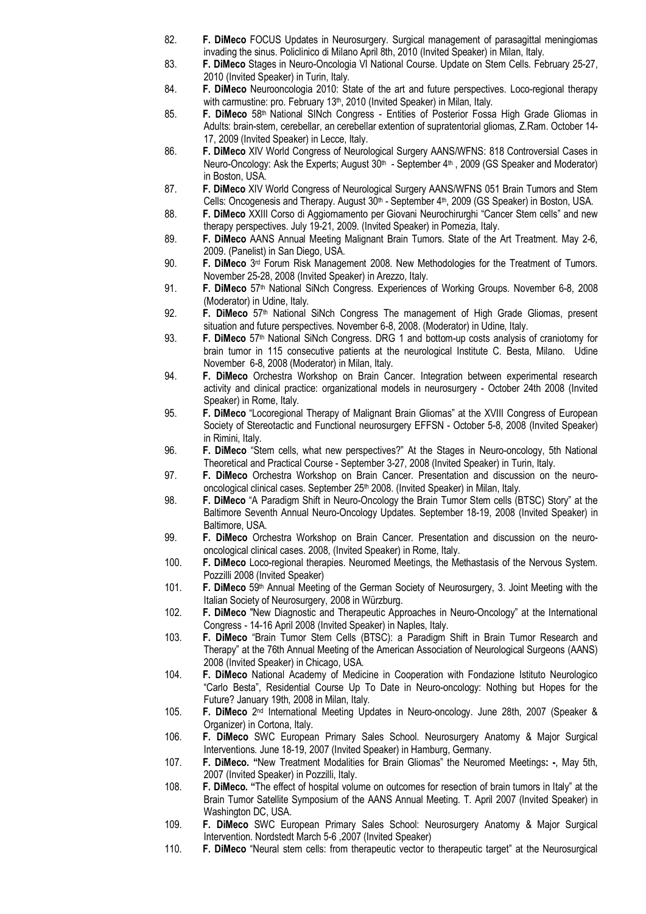- 82. **F. DiMeco** FOCUS Updates in Neurosurgery. Surgical management of parasagittal meningiomas invading the sinus. Policlinico di Milano April 8th, 2010 (Invited Speaker) in Milan, Italy.
- 83. **F. DiMeco** Stages in Neuro-Oncologia VI National Course. Update on Stem Cells. February 25-27, 2010 (Invited Speaker) in Turin, Italy.
- 84. **F. DiMeco** Neurooncologia 2010: State of the art and future perspectives. Loco-regional therapy with carmustine: pro. February 13<sup>th</sup>, 2010 (Invited Speaker) in Milan, Italy.
- 85. **F. DiMeco** 58th National SINch Congress Entities of Posterior Fossa High Grade Gliomas in Adults: brain-stem, cerebellar, an cerebellar extention of supratentorial gliomas, Z.Ram. October 14- 17, 2009 (Invited Speaker) in Lecce, Italy.
- 86. **F. DiMeco** XIV World Congress of Neurological Surgery AANS/WFNS: 818 Controversial Cases in Neuro-Oncology: Ask the Experts; August 30<sup>th</sup> - September 4<sup>th</sup>, 2009 (GS Speaker and Moderator) in Boston, USA.
- 87. **F. DiMeco** XIV World Congress of Neurological Surgery AANS/WFNS 051 Brain Tumors and Stem Cells: Oncogenesis and Therapy. August 30<sup>th</sup> - September 4<sup>th</sup>, 2009 (GS Speaker) in Boston, USA.
- 88. **F. DiMeco** XXIII Corso di Aggiornamento per Giovani Neurochirurghi "Cancer Stem cells" and new therapy perspectives. July 19-21, 2009. (Invited Speaker) in Pomezia, Italy.
- 89. **F. DiMeco** AANS Annual Meeting Malignant Brain Tumors. State of the Art Treatment. May 2-6, 2009. (Panelist) in San Diego, USA.
- 90. **F. DiMeco** 3<sup>rd</sup> Forum Risk Management 2008. New Methodologies for the Treatment of Tumors. November 25-28, 2008 (Invited Speaker) in Arezzo, Italy.
- 91. **F. DiMeco** 57th National SiNch Congress. Experiences of Working Groups. November 6-8, 2008 (Moderator) in Udine, Italy.
- 92. **F. DiMeco** 57th National SiNch Congress The management of High Grade Gliomas, present situation and future perspectives. November 6-8, 2008. (Moderator) in Udine, Italy.
- 93. **F. DiMeco** 57th National SiNch Congress. DRG 1 and bottom-up costs analysis of craniotomy for brain tumor in 115 consecutive patients at the neurological Institute C. Besta, Milano. Udine November 6-8, 2008 (Moderator) in Milan, Italy.
- 94. **F. DiMeco** Orchestra Workshop on Brain Cancer. Integration between experimental research activity and clinical practice: organizational models in neurosurgery - October 24th 2008 (Invited Speaker) in Rome, Italy.
- 95. **F. DiMeco** "Locoregional Therapy of Malignant Brain Gliomas" at the XVIII Congress of European Society of Stereotactic and Functional neurosurgery EFFSN - October 5-8, 2008 (Invited Speaker) in Rimini, Italy.
- 96. **F. DiMeco** "Stem cells, what new perspectives?" At the Stages in Neuro-oncology, 5th National Theoretical and Practical Course - September 3-27, 2008 (Invited Speaker) in Turin, Italy.
- 97. **F. DiMeco** Orchestra Workshop on Brain Cancer. Presentation and discussion on the neurooncological clinical cases. September 25<sup>th</sup> 2008. (Invited Speaker) in Milan, Italy.
- 98. **F. DiMeco** "A Paradigm Shift in Neuro-Oncology the Brain Tumor Stem cells (BTSC) Story" at the Baltimore Seventh Annual Neuro-Oncology Updates. September 18-19, 2008 (Invited Speaker) in Baltimore, USA.
- 99. **F. DiMeco** Orchestra Workshop on Brain Cancer. Presentation and discussion on the neurooncological clinical cases. 2008, (Invited Speaker) in Rome, Italy.
- 100. **F. DiMeco** Loco-regional therapies. Neuromed Meetings, the Methastasis of the Nervous System. Pozzilli 2008 (Invited Speaker)
- 101. **F. DiMeco** 59th Annual Meeting of the German Society of Neurosurgery, 3. Joint Meeting with the Italian Society of Neurosurgery, 2008 in Würzburg.
- 102. **F. DiMeco** "New Diagnostic and Therapeutic Approaches in Neuro-Oncology" at the International Congress - 14-16 April 2008 (Invited Speaker) in Naples, Italy.
- 103. **F. DiMeco** "Brain Tumor Stem Cells (BTSC): a Paradigm Shift in Brain Tumor Research and Therapy" at the 76th Annual Meeting of the American Association of Neurological Surgeons (AANS) 2008 (Invited Speaker) in Chicago, USA.
- 104. **F. DiMeco** National Academy of Medicine in Cooperation with Fondazione Istituto Neurologico "Carlo Besta", Residential Course Up To Date in Neuro-oncology: Nothing but Hopes for the Future? January 19th, 2008 in Milan, Italy.
- 105. **F. DiMeco** 2 nd International Meeting Updates in Neuro-oncology. June 28th, 2007 (Speaker & Organizer) in Cortona, Italy.
- 106. **F. DiMeco** SWC European Primary Sales School. Neurosurgery Anatomy & Major Surgical Interventions. June 18-19, 2007 (Invited Speaker) in Hamburg, Germany.
- 107. **F. DiMeco. "**New Treatment Modalities for Brain Gliomas" the Neuromed Meetings**: -**, May 5th, 2007 (Invited Speaker) in Pozzilli, Italy.
- 108. **F. DiMeco. "**The effect of hospital volume on outcomes for resection of brain tumors in Italy" at the Brain Tumor Satellite Symposium of the AANS Annual Meeting. T. April 2007 (Invited Speaker) in Washington DC, USA.
- 109. **F. DiMeco** SWC European Primary Sales School: Neurosurgery Anatomy & Major Surgical Intervention. Nordstedt March 5-6 ,2007 (Invited Speaker)
- 110. **F. DiMeco** "Neural stem cells: from therapeutic vector to therapeutic target" at the Neurosurgical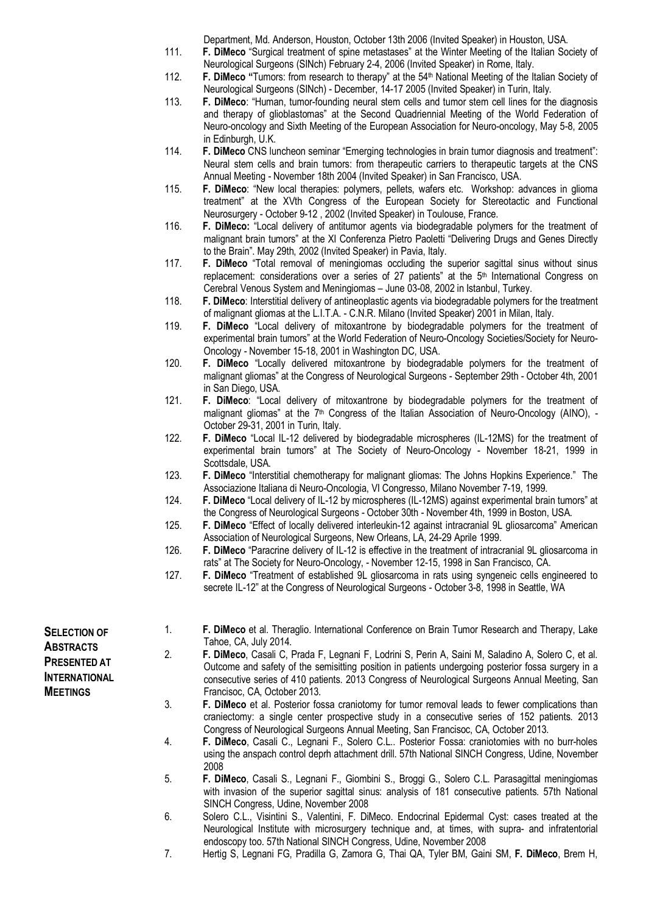Department, Md. Anderson, Houston, October 13th 2006 (Invited Speaker) in Houston, USA.

- 111. **F. DiMeco** "Surgical treatment of spine metastases" at the Winter Meeting of the Italian Society of Neurological Surgeons (SINch) February 2-4, 2006 (Invited Speaker) in Rome, Italy.
- 112. **F. DiMeco "**Tumors: from research to therapy" at the 54th National Meeting of the Italian Society of Neurological Surgeons (SINch) - December, 14-17 2005 (Invited Speaker) in Turin, Italy.
- 113. **F. DiMeco**: "Human, tumor-founding neural stem cells and tumor stem cell lines for the diagnosis and therapy of glioblastomas" at the Second Quadriennial Meeting of the World Federation of Neuro-oncology and Sixth Meeting of the European Association for Neuro-oncology, May 5-8, 2005 in Edinburgh, U.K.
- 114. **F. DiMeco** CNS luncheon seminar "Emerging technologies in brain tumor diagnosis and treatment": Neural stem cells and brain tumors: from therapeutic carriers to therapeutic targets at the CNS Annual Meeting - November 18th 2004 (Invited Speaker) in San Francisco, USA.
- 115. **F. DiMeco**: "New local therapies: polymers, pellets, wafers etc. Workshop: advances in glioma treatment" at the XVth Congress of the European Society for Stereotactic and Functional Neurosurgery - October 9-12 , 2002 (Invited Speaker) in Toulouse, France.
- 116. **F. DiMeco:** "Local delivery of antitumor agents via biodegradable polymers for the treatment of malignant brain tumors" at the XI Conferenza Pietro Paoletti "Delivering Drugs and Genes Directly to the Brain". May 29th, 2002 (Invited Speaker) in Pavia, Italy.
- 117. **F. DiMeco** "Total removal of meningiomas occluding the superior sagittal sinus without sinus replacement: considerations over a series of 27 patients" at the 5<sup>th</sup> International Congress on Cerebral Venous System and Meningiomas – June 03-08, 2002 in Istanbul, Turkey.
- 118. **F. DiMeco**: Interstitial delivery of antineoplastic agents via biodegradable polymers for the treatment of malignant gliomas at the L.I.T.A. - C.N.R. Milano (Invited Speaker) 2001 in Milan, Italy.
- 119. **F. DiMeco** "Local delivery of mitoxantrone by biodegradable polymers for the treatment of experimental brain tumors" at the World Federation of Neuro-Oncology Societies/Society for Neuro-Oncology - November 15-18, 2001 in Washington DC, USA.
- 120. **F. DiMeco** "Locally delivered mitoxantrone by biodegradable polymers for the treatment of malignant gliomas" at the Congress of Neurological Surgeons - September 29th - October 4th, 2001 in San Diego, USA.
- 121. **F. DiMeco**: "Local delivery of mitoxantrone by biodegradable polymers for the treatment of malignant gliomas" at the 7<sup>th</sup> Congress of the Italian Association of Neuro-Oncology (AINO), -October 29-31, 2001 in Turin, Italy.
- 122. **F. DiMeco** "Local IL-12 delivered by biodegradable microspheres (IL-12MS) for the treatment of experimental brain tumors" at The Society of Neuro-Oncology - November 18-21, 1999 in Scottsdale, USA.
- 123. **F. DiMeco** "Interstitial chemotherapy for malignant gliomas: The Johns Hopkins Experience." The Associazione Italiana di Neuro-Oncologia, VI Congresso, Milano November 7-19, 1999.
- 124. **F. DiMeco** "Local delivery of IL-12 by microspheres (IL-12MS) against experimental brain tumors" at the Congress of Neurological Surgeons - October 30th - November 4th, 1999 in Boston, USA.
- 125. **F. DiMeco** "Effect of locally delivered interleukin-12 against intracranial 9L gliosarcoma" American Association of Neurological Surgeons, New Orleans, LA, 24-29 Aprile 1999.
- 126. **F. DiMeco** "Paracrine delivery of IL-12 is effective in the treatment of intracranial 9L gliosarcoma in rats" at The Society for Neuro-Oncology, - November 12-15, 1998 in San Francisco, CA.
- 127. **F. DiMeco** "Treatment of established 9L gliosarcoma in rats using syngeneic cells engineered to secrete IL-12" at the Congress of Neurological Surgeons - October 3-8, 1998 in Seattle, WA
- **SELECTION OF ABSTRACTS PRESENTED AT INTERNATIONAL MEETINGS**
- 1. **F. DiMeco** et al. Theraglio. International Conference on Brain Tumor Research and Therapy, Lake Tahoe, CA, July 2014.
- 2. **F. DiMeco**, Casali C, Prada F, Legnani F, Lodrini S, Perin A, Saini M, Saladino A, Solero C, et al. Outcome and safety of the semisitting position in patients undergoing posterior fossa surgery in a consecutive series of 410 patients. 2013 Congress of Neurological Surgeons Annual Meeting, San Francisoc, CA, October 2013.
- 3. **F. DiMeco** et al. Posterior fossa craniotomy for tumor removal leads to fewer complications than craniectomy: a single center prospective study in a consecutive series of 152 patients. 2013 Congress of Neurological Surgeons Annual Meeting, San Francisoc, CA, October 2013.
- 4. **F. DiMeco**, Casali C., Legnani F., Solero C.L.. Posterior Fossa: craniotomies with no burr-holes using the anspach control deprh attachment drill. 57th National SINCH Congress, Udine, November 2008
- 5. **F. DiMeco**, Casali S., Legnani F., Giombini S., Broggi G., Solero C.L. Parasagittal meningiomas with invasion of the superior sagittal sinus: analysis of 181 consecutive patients. 57th National SINCH Congress, Udine, November 2008
- 6. Solero C.L., Visintini S., Valentini, F. DiMeco. Endocrinal Epidermal Cyst: cases treated at the Neurological Institute with microsurgery technique and, at times, with supra- and infratentorial endoscopy too. 57th National SINCH Congress, Udine, November 2008
- 7. Hertig S, Legnani FG, Pradilla G, Zamora G, Thai QA, Tyler BM, Gaini SM, **F. DiMeco**, Brem H,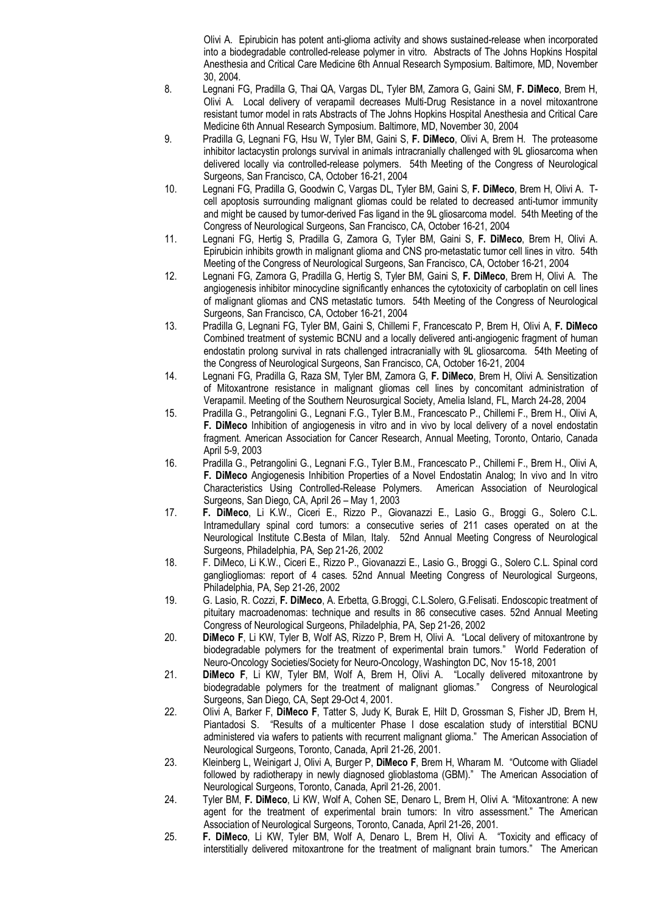Olivi A. Epirubicin has potent anti-glioma activity and shows sustained-release when incorporated into a biodegradable controlled-release polymer in vitro. Abstracts of The Johns Hopkins Hospital Anesthesia and Critical Care Medicine 6th Annual Research Symposium. Baltimore, MD, November 30, 2004.

- 8. Legnani FG, Pradilla G, Thai QA, Vargas DL, Tyler BM, Zamora G, Gaini SM, **F. DiMeco**, Brem H, Olivi A. Local delivery of verapamil decreases Multi-Drug Resistance in a novel mitoxantrone resistant tumor model in rats Abstracts of The Johns Hopkins Hospital Anesthesia and Critical Care Medicine 6th Annual Research Symposium. Baltimore, MD, November 30, 2004
- 9. Pradilla G, Legnani FG, Hsu W, Tyler BM, Gaini S, **F. DiMeco**, Olivi A, Brem H. The proteasome inhibitor lactacystin prolongs survival in animals intracranially challenged with 9L gliosarcoma when delivered locally via controlled-release polymers. 54th Meeting of the Congress of Neurological Surgeons, San Francisco, CA, October 16-21, 2004
- 10. Legnani FG, Pradilla G, Goodwin C, Vargas DL, Tyler BM, Gaini S, **F. DiMeco**, Brem H, Olivi A. Tcell apoptosis surrounding malignant gliomas could be related to decreased anti-tumor immunity and might be caused by tumor-derived Fas ligand in the 9L gliosarcoma model. 54th Meeting of the Congress of Neurological Surgeons, San Francisco, CA, October 16-21, 2004
- 11. Legnani FG, Hertig S, Pradilla G, Zamora G, Tyler BM, Gaini S, **F. DiMeco**, Brem H, Olivi A. Epirubicin inhibits growth in malignant glioma and CNS pro-metastatic tumor cell lines in vitro. 54th Meeting of the Congress of Neurological Surgeons, San Francisco, CA, October 16-21, 2004
- 12. Legnani FG, Zamora G, Pradilla G, Hertig S, Tyler BM, Gaini S, **F. DiMeco**, Brem H, Olivi A. The angiogenesis inhibitor minocycline significantly enhances the cytotoxicity of carboplatin on cell lines of malignant gliomas and CNS metastatic tumors. 54th Meeting of the Congress of Neurological Surgeons, San Francisco, CA, October 16-21, 2004
- 13. Pradilla G, Legnani FG, Tyler BM, Gaini S, Chillemi F, Francescato P, Brem H, Olivi A, **F. DiMeco** Combined treatment of systemic BCNU and a locally delivered anti-angiogenic fragment of human endostatin prolong survival in rats challenged intracranially with 9L gliosarcoma. 54th Meeting of the Congress of Neurological Surgeons, San Francisco, CA, October 16-21, 2004
- 14. Legnani FG, Pradilla G, Raza SM, Tyler BM, Zamora G, **F. DiMeco**, Brem H, Olivi A. Sensitization of Mitoxantrone resistance in malignant gliomas cell lines by concomitant administration of Verapamil. Meeting of the Southern Neurosurgical Society, Amelia Island, FL, March 24-28, 2004
- 15. Pradilla G., Petrangolini G., Legnani F.G., Tyler B.M., Francescato P., Chillemi F., Brem H., Olivi A, **F. DiMeco** Inhibition of angiogenesis in vitro and in vivo by local delivery of a novel endostatin fragment. American Association for Cancer Research, Annual Meeting, Toronto, Ontario, Canada April 5-9, 2003
- 16. Pradilla G., Petrangolini G., Legnani F.G., Tyler B.M., Francescato P., Chillemi F., Brem H., Olivi A, **F. DiMeco** Angiogenesis Inhibition Properties of a Novel Endostatin Analog; In vivo and In vitro Characteristics Using Controlled-Release Polymers. American Association of Neurological Surgeons, San Diego, CA, April 26 – May 1, 2003
- 17. **F. DiMeco**, Li K.W., Ciceri E., Rizzo P., Giovanazzi E., Lasio G., Broggi G., Solero C.L. Intramedullary spinal cord tumors: a consecutive series of 211 cases operated on at the Neurological Institute C.Besta of Milan, Italy. 52nd Annual Meeting Congress of Neurological Surgeons, Philadelphia, PA, Sep 21-26, 2002
- 18. F. DiMeco, Li K.W., Ciceri E., Rizzo P., Giovanazzi E., Lasio G., Broggi G., Solero C.L. Spinal cord gangliogliomas: report of 4 cases. 52nd Annual Meeting Congress of Neurological Surgeons, Philadelphia, PA, Sep 21-26, 2002
- 19. G. Lasio, R. Cozzi, **F. DiMeco**, A. Erbetta, G.Broggi, C.L.Solero, G.Felisati. Endoscopic treatment of pituitary macroadenomas: technique and results in 86 consecutive cases. 52nd Annual Meeting Congress of Neurological Surgeons, Philadelphia, PA, Sep 21-26, 2002
- 20. **DiMeco F**, Li KW, Tyler B, Wolf AS, Rizzo P, Brem H, Olivi A. "Local delivery of mitoxantrone by biodegradable polymers for the treatment of experimental brain tumors." World Federation of Neuro-Oncology Societies/Society for Neuro-Oncology, Washington DC, Nov 15-18, 2001
- 21. **DiMeco F**, Li KW, Tyler BM, Wolf A, Brem H, Olivi A. "Locally delivered mitoxantrone by biodegradable polymers for the treatment of malignant gliomas." Congress of Neurological Surgeons, San Diego, CA, Sept 29-Oct 4, 2001.
- 22. Olivi A, Barker F, **DiMeco F**, Tatter S, Judy K, Burak E, Hilt D, Grossman S, Fisher JD, Brem H, Piantadosi S. "Results of a multicenter Phase I dose escalation study of interstitial BCNU administered via wafers to patients with recurrent malignant glioma." The American Association of Neurological Surgeons, Toronto, Canada, April 21-26, 2001.
- 23. Kleinberg L, Weinigart J, Olivi A, Burger P, **DiMeco F**, Brem H, Wharam M. "Outcome with Gliadel followed by radiotherapy in newly diagnosed glioblastoma (GBM)." The American Association of Neurological Surgeons, Toronto, Canada, April 21-26, 2001.
- 24. Tyler BM, **F. DiMeco**, Li KW, Wolf A, Cohen SE, Denaro L, Brem H, Olivi A. "Mitoxantrone: A new agent for the treatment of experimental brain tumors: In vitro assessment." The American Association of Neurological Surgeons, Toronto, Canada, April 21-26, 2001.
- 25. **F. DiMeco**, Li KW, Tyler BM, Wolf A, Denaro L, Brem H, Olivi A. "Toxicity and efficacy of interstitially delivered mitoxantrone for the treatment of malignant brain tumors." The American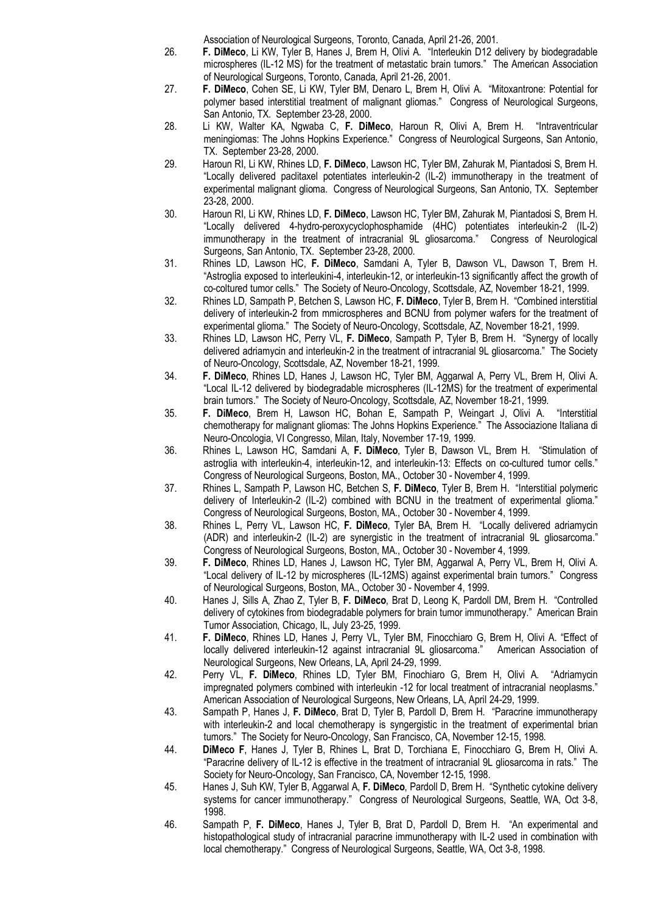Association of Neurological Surgeons, Toronto, Canada, April 21-26, 2001.

- 26. **F. DiMeco**, Li KW, Tyler B, Hanes J, Brem H, Olivi A. "Interleukin D12 delivery by biodegradable microspheres (IL-12 MS) for the treatment of metastatic brain tumors." The American Association of Neurological Surgeons, Toronto, Canada, April 21-26, 2001.
- 27. **F. DiMeco**, Cohen SE, Li KW, Tyler BM, Denaro L, Brem H, Olivi A. "Mitoxantrone: Potential for polymer based interstitial treatment of malignant gliomas." Congress of Neurological Surgeons, San Antonio, TX. September 23-28, 2000.
- 28. Li KW, Walter KA, Ngwaba C, **F. DiMeco**, Haroun R, Olivi A, Brem H. "Intraventricular meningiomas: The Johns Hopkins Experience." Congress of Neurological Surgeons, San Antonio, TX. September 23-28, 2000.
- 29. Haroun RI, Li KW, Rhines LD, **F. DiMeco**, Lawson HC, Tyler BM, Zahurak M, Piantadosi S, Brem H. "Locally delivered paclitaxel potentiates interleukin-2 (IL-2) immunotherapy in the treatment of experimental malignant glioma. Congress of Neurological Surgeons, San Antonio, TX. September 23-28, 2000.
- 30. Haroun RI, Li KW, Rhines LD, **F. DiMeco**, Lawson HC, Tyler BM, Zahurak M, Piantadosi S, Brem H. "Locally delivered 4-hydro-peroxycyclophosphamide (4HC) potentiates interleukin-2 (IL-2) immunotherapy in the treatment of intracranial 9L gliosarcoma." Congress of Neurological Surgeons, San Antonio, TX. September 23-28, 2000.
- 31. Rhines LD, Lawson HC, **F. DiMeco**, Samdani A, Tyler B, Dawson VL, Dawson T, Brem H. "Astroglia exposed to interleukini-4, interleukin-12, or interleukin-13 significantly affect the growth of co-coltured tumor cells." The Society of Neuro-Oncology, Scottsdale, AZ, November 18-21, 1999.
- 32. Rhines LD, Sampath P, Betchen S, Lawson HC, **F. DiMeco**, Tyler B, Brem H. "Combined interstitial delivery of interleukin-2 from mmicrospheres and BCNU from polymer wafers for the treatment of experimental glioma." The Society of Neuro-Oncology, Scottsdale, AZ, November 18-21, 1999.
- 33. Rhines LD, Lawson HC, Perry VL, **F. DiMeco**, Sampath P, Tyler B, Brem H. "Synergy of locally delivered adriamycin and interleukin-2 in the treatment of intracranial 9L gliosarcoma." The Society of Neuro-Oncology, Scottsdale, AZ, November 18-21, 1999.
- 34. **F. DiMeco**, Rhines LD, Hanes J, Lawson HC, Tyler BM, Aggarwal A, Perry VL, Brem H, Olivi A. "Local IL-12 delivered by biodegradable microspheres (IL-12MS) for the treatment of experimental brain tumors." The Society of Neuro-Oncology, Scottsdale, AZ, November 18-21, 1999.
- 35. **F. DiMeco**, Brem H, Lawson HC, Bohan E, Sampath P, Weingart J, Olivi A. "Interstitial chemotherapy for malignant gliomas: The Johns Hopkins Experience." The Associazione Italiana di Neuro-Oncologia, VI Congresso, Milan, Italy, November 17-19, 1999.
- 36. Rhines L, Lawson HC, Samdani A, **F. DiMeco**, Tyler B, Dawson VL, Brem H. "Stimulation of astroglia with interleukin-4, interleukin-12, and interleukin-13: Effects on co-cultured tumor cells." Congress of Neurological Surgeons, Boston, MA., October 30 - November 4, 1999.
- 37. Rhines L, Sampath P, Lawson HC, Betchen S, **F. DiMeco**, Tyler B, Brem H. "Interstitial polymeric delivery of Interleukin-2 (IL-2) combined with BCNU in the treatment of experimental glioma." Congress of Neurological Surgeons, Boston, MA., October 30 - November 4, 1999.
- 38. Rhines L, Perry VL, Lawson HC, **F. DiMeco**, Tyler BA, Brem H. "Locally delivered adriamycin (ADR) and interleukin-2 (IL-2) are synergistic in the treatment of intracranial 9L gliosarcoma." Congress of Neurological Surgeons, Boston, MA., October 30 - November 4, 1999.
- 39. **F. DiMeco**, Rhines LD, Hanes J, Lawson HC, Tyler BM, Aggarwal A, Perry VL, Brem H, Olivi A. "Local delivery of IL-12 by microspheres (IL-12MS) against experimental brain tumors." Congress of Neurological Surgeons, Boston, MA., October 30 - November 4, 1999.
- 40. Hanes J, Sills A, Zhao Z, Tyler B, **F. DiMeco**, Brat D, Leong K, Pardoll DM, Brem H. "Controlled delivery of cytokines from biodegradable polymers for brain tumor immunotherapy." American Brain Tumor Association, Chicago, IL, July 23-25, 1999.
- 41. **F. DiMeco**, Rhines LD, Hanes J, Perry VL, Tyler BM, Finocchiaro G, Brem H, Olivi A. "Effect of locally delivered interleukin-12 against intracranial 9L gliosarcoma." American Association of Neurological Surgeons, New Orleans, LA, April 24-29, 1999.
- 42. Perry VL, **F. DiMeco**, Rhines LD, Tyler BM, Finochiaro G, Brem H, Olivi A. "Adriamycin impregnated polymers combined with interleukin -12 for local treatment of intracranial neoplasms." American Association of Neurological Surgeons, New Orleans, LA, April 24-29, 1999.
- 43. Sampath P, Hanes J, **F. DiMeco**, Brat D, Tyler B, Pardoll D, Brem H. "Paracrine immunotherapy with interleukin-2 and local chemotherapy is syngergistic in the treatment of experimental brian tumors." The Society for Neuro-Oncology, San Francisco, CA, November 12-15, 1998.
- 44. **DiMeco F**, Hanes J, Tyler B, Rhines L, Brat D, Torchiana E, Finocchiaro G, Brem H, Olivi A. "Paracrine delivery of IL-12 is effective in the treatment of intracranial 9L gliosarcoma in rats." The Society for Neuro-Oncology, San Francisco, CA, November 12-15, 1998.
- 45. Hanes J, Suh KW, Tyler B, Aggarwal A, **F. DiMeco**, Pardoll D, Brem H. "Synthetic cytokine delivery systems for cancer immunotherapy." Congress of Neurological Surgeons, Seattle, WA, Oct 3-8, 1998.
- 46. Sampath P, **F. DiMeco**, Hanes J, Tyler B, Brat D, Pardoll D, Brem H. "An experimental and histopathological study of intracranial paracrine immunotherapy with IL-2 used in combination with local chemotherapy." Congress of Neurological Surgeons, Seattle, WA, Oct 3-8, 1998.